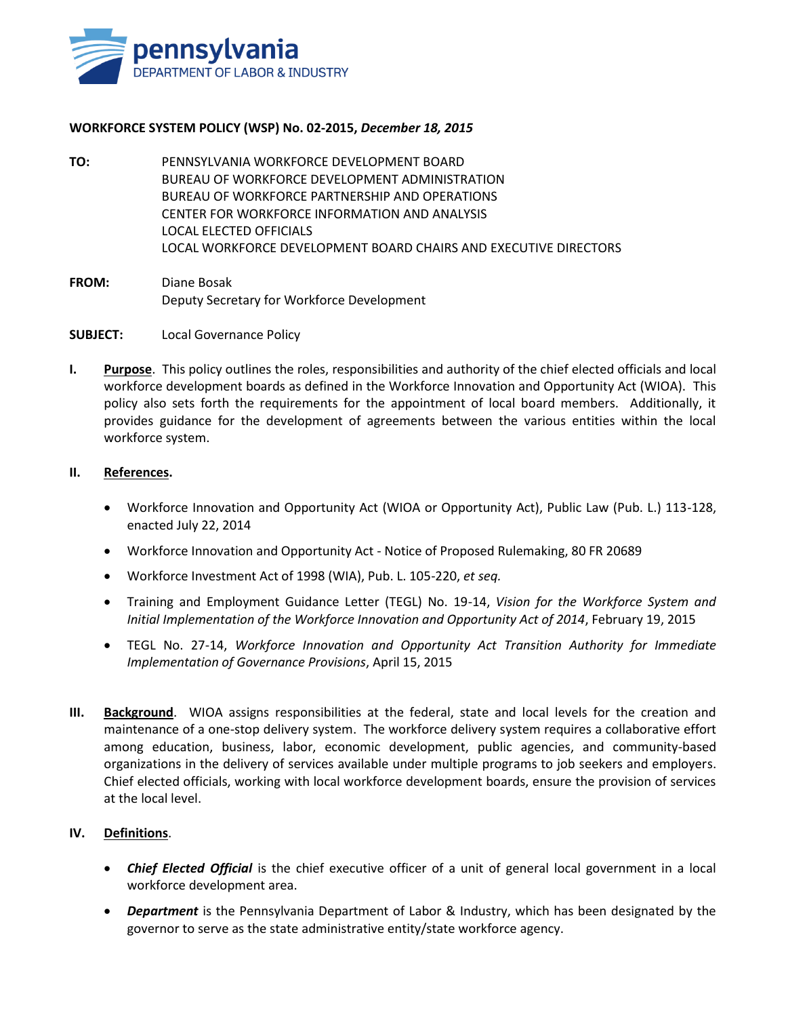

### **WORKFORCE SYSTEM POLICY (WSP) No. 02-2015,** *December 18, 2015*

- **TO:** PENNSYLVANIA WORKFORCE DEVELOPMENT BOARD BUREAU OF WORKFORCE DEVELOPMENT ADMINISTRATION BUREAU OF WORKFORCE PARTNERSHIP AND OPERATIONS CENTER FOR WORKFORCE INFORMATION AND ANALYSIS LOCAL ELECTED OFFICIALS LOCAL WORKFORCE DEVELOPMENT BOARD CHAIRS AND EXECUTIVE DIRECTORS
- **FROM:** Diane Bosak Deputy Secretary for Workforce Development

#### **SUBJECT:** Local Governance Policy

**I. Purpose**. This policy outlines the roles, responsibilities and authority of the chief elected officials and local workforce development boards as defined in the Workforce Innovation and Opportunity Act (WIOA). This policy also sets forth the requirements for the appointment of local board members. Additionally, it provides guidance for the development of agreements between the various entities within the local workforce system.

#### **II. References.**

- Workforce Innovation and Opportunity Act (WIOA or Opportunity Act), Public Law (Pub. L.) 113-128, enacted July 22, 2014
- Workforce Innovation and Opportunity Act Notice of Proposed Rulemaking, 80 FR 20689
- Workforce Investment Act of 1998 (WIA), Pub. L. 105-220, *et seq.*
- Training and Employment Guidance Letter (TEGL) No. 19-14, *Vision for the Workforce System and Initial Implementation of the Workforce Innovation and Opportunity Act of 2014*, February 19, 2015
- TEGL No. 27-14, *Workforce Innovation and Opportunity Act Transition Authority for Immediate Implementation of Governance Provisions*, April 15, 2015
- **III. Background**. WIOA assigns responsibilities at the federal, state and local levels for the creation and maintenance of a one-stop delivery system. The workforce delivery system requires a collaborative effort among education, business, labor, economic development, public agencies, and community-based organizations in the delivery of services available under multiple programs to job seekers and employers. Chief elected officials, working with local workforce development boards, ensure the provision of services at the local level.

### **IV. Definitions**.

- Chief Elected Official is the chief executive officer of a unit of general local government in a local workforce development area.
- *Department* is the Pennsylvania Department of Labor & Industry, which has been designated by the governor to serve as the state administrative entity/state workforce agency.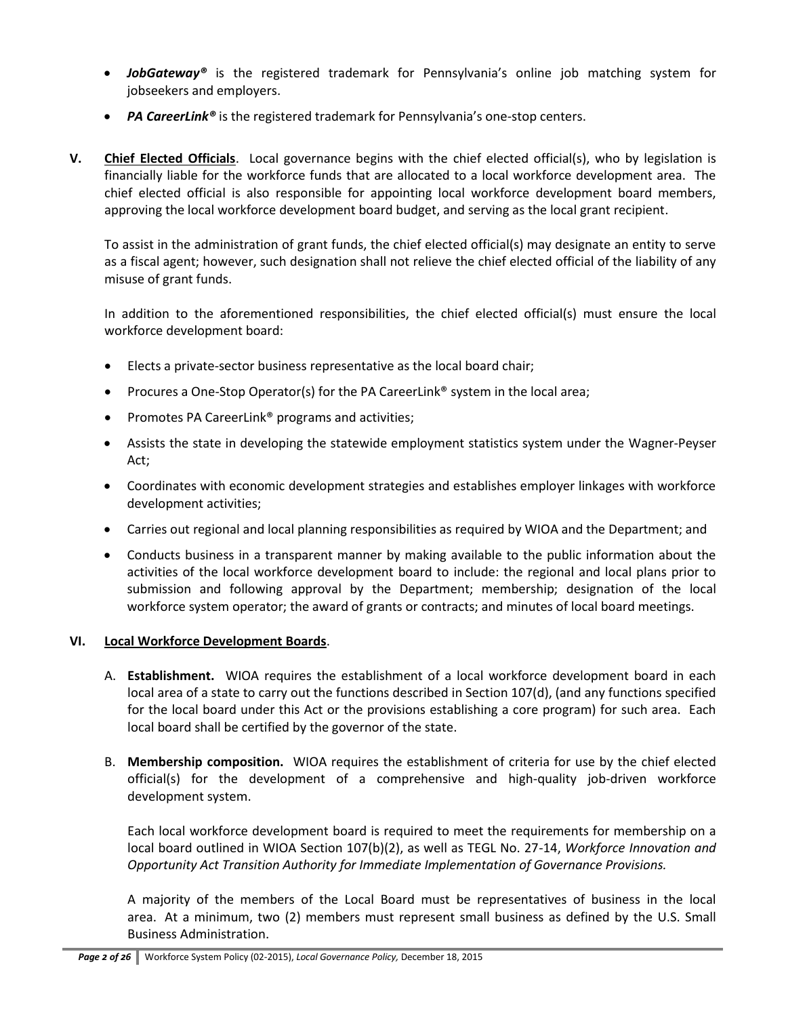- **■** *JobGateway®* is the registered trademark for Pennsylvania's online job matching system for jobseekers and employers.
- *PA CareerLink®* is the registered trademark for Pennsylvania's one-stop centers.
- **V. Chief Elected Officials**. Local governance begins with the chief elected official(s), who by legislation is financially liable for the workforce funds that are allocated to a local workforce development area. The chief elected official is also responsible for appointing local workforce development board members, approving the local workforce development board budget, and serving as the local grant recipient.

To assist in the administration of grant funds, the chief elected official(s) may designate an entity to serve as a fiscal agent; however, such designation shall not relieve the chief elected official of the liability of any misuse of grant funds.

In addition to the aforementioned responsibilities, the chief elected official(s) must ensure the local workforce development board:

- Elects a private-sector business representative as the local board chair;
- Procures a One-Stop Operator(s) for the PA CareerLink® system in the local area;
- Promotes PA CareerLink® programs and activities;
- Assists the state in developing the statewide employment statistics system under the Wagner-Peyser Act;
- Coordinates with economic development strategies and establishes employer linkages with workforce development activities;
- Carries out regional and local planning responsibilities as required by WIOA and the Department; and
- Conducts business in a transparent manner by making available to the public information about the activities of the local workforce development board to include: the regional and local plans prior to submission and following approval by the Department; membership; designation of the local workforce system operator; the award of grants or contracts; and minutes of local board meetings.

### **VI. Local Workforce Development Boards**.

- A. **Establishment.** WIOA requires the establishment of a local workforce development board in each local area of a state to carry out the functions described in Section 107(d), (and any functions specified for the local board under this Act or the provisions establishing a core program) for such area. Each local board shall be certified by the governor of the state.
- B. **Membership composition.** WIOA requires the establishment of criteria for use by the chief elected official(s) for the development of a comprehensive and high-quality job-driven workforce development system.

Each local workforce development board is required to meet the requirements for membership on a local board outlined in WIOA Section 107(b)(2), as well as TEGL No. 27-14, *Workforce Innovation and Opportunity Act Transition Authority for Immediate Implementation of Governance Provisions.*

A majority of the members of the Local Board must be representatives of business in the local area. At a minimum, two (2) members must represent small business as defined by the U.S. Small Business Administration.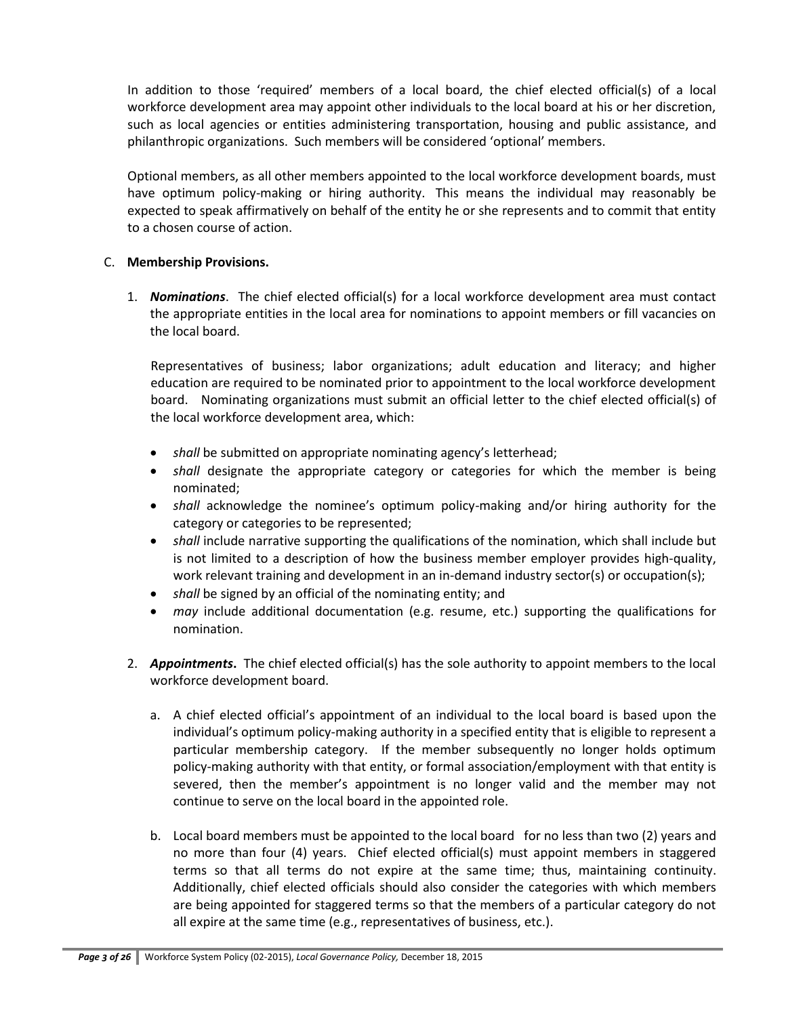In addition to those 'required' members of a local board, the chief elected official(s) of a local workforce development area may appoint other individuals to the local board at his or her discretion, such as local agencies or entities administering transportation, housing and public assistance, and philanthropic organizations. Such members will be considered 'optional' members.

Optional members, as all other members appointed to the local workforce development boards, must have optimum policy-making or hiring authority. This means the individual may reasonably be expected to speak affirmatively on behalf of the entity he or she represents and to commit that entity to a chosen course of action.

### C. **Membership Provisions.**

1. *Nominations*. The chief elected official(s) for a local workforce development area must contact the appropriate entities in the local area for nominations to appoint members or fill vacancies on the local board.

Representatives of business; labor organizations; adult education and literacy; and higher education are required to be nominated prior to appointment to the local workforce development board. Nominating organizations must submit an official letter to the chief elected official(s) of the local workforce development area, which:

- *shall* be submitted on appropriate nominating agency's letterhead;
- *shall* designate the appropriate category or categories for which the member is being nominated;
- *shall* acknowledge the nominee's optimum policy-making and/or hiring authority for the category or categories to be represented;
- *shall* include narrative supporting the qualifications of the nomination, which shall include but is not limited to a description of how the business member employer provides high-quality, work relevant training and development in an in-demand industry sector(s) or occupation(s);
- *shall* be signed by an official of the nominating entity; and
- *may* include additional documentation (e.g. resume, etc.) supporting the qualifications for nomination.
- 2. *Appointments***.** The chief elected official(s) has the sole authority to appoint members to the local workforce development board.
	- a. A chief elected official's appointment of an individual to the local board is based upon the individual's optimum policy-making authority in a specified entity that is eligible to represent a particular membership category. If the member subsequently no longer holds optimum policy-making authority with that entity, or formal association/employment with that entity is severed, then the member's appointment is no longer valid and the member may not continue to serve on the local board in the appointed role.
	- b. Local board members must be appointed to the local board for no less than two (2) years and no more than four (4) years. Chief elected official(s) must appoint members in staggered terms so that all terms do not expire at the same time; thus, maintaining continuity. Additionally, chief elected officials should also consider the categories with which members are being appointed for staggered terms so that the members of a particular category do not all expire at the same time (e.g., representatives of business, etc.).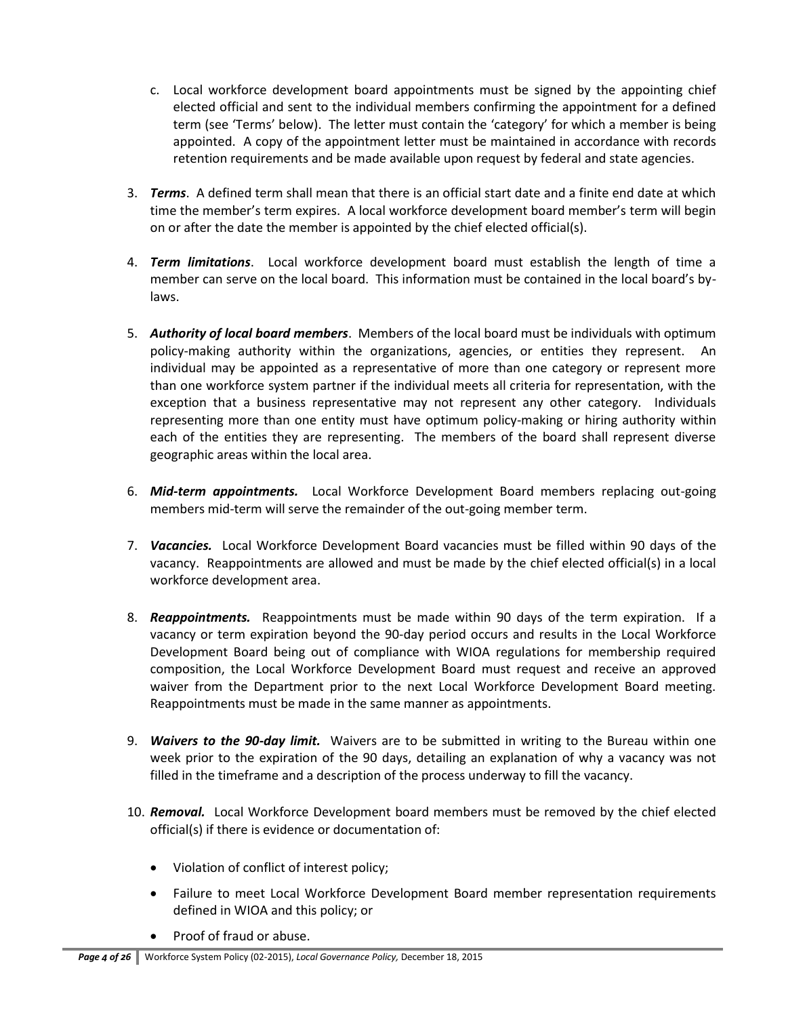- c. Local workforce development board appointments must be signed by the appointing chief elected official and sent to the individual members confirming the appointment for a defined term (see 'Terms' below). The letter must contain the 'category' for which a member is being appointed. A copy of the appointment letter must be maintained in accordance with records retention requirements and be made available upon request by federal and state agencies.
- 3. *Terms*. A defined term shall mean that there is an official start date and a finite end date at which time the member's term expires. A local workforce development board member's term will begin on or after the date the member is appointed by the chief elected official(s).
- 4. *Term limitations*. Local workforce development board must establish the length of time a member can serve on the local board. This information must be contained in the local board's bylaws.
- 5. *Authority of local board members*. Members of the local board must be individuals with optimum policy-making authority within the organizations, agencies, or entities they represent. An individual may be appointed as a representative of more than one category or represent more than one workforce system partner if the individual meets all criteria for representation, with the exception that a business representative may not represent any other category. Individuals representing more than one entity must have optimum policy-making or hiring authority within each of the entities they are representing. The members of the board shall represent diverse geographic areas within the local area.
- 6. *Mid-term appointments.* Local Workforce Development Board members replacing out-going members mid-term will serve the remainder of the out-going member term.
- 7. *Vacancies.* Local Workforce Development Board vacancies must be filled within 90 days of the vacancy. Reappointments are allowed and must be made by the chief elected official(s) in a local workforce development area.
- 8. *Reappointments.* Reappointments must be made within 90 days of the term expiration. If a vacancy or term expiration beyond the 90-day period occurs and results in the Local Workforce Development Board being out of compliance with WIOA regulations for membership required composition, the Local Workforce Development Board must request and receive an approved waiver from the Department prior to the next Local Workforce Development Board meeting. Reappointments must be made in the same manner as appointments.
- 9. *Waivers to the 90-day limit.* Waivers are to be submitted in writing to the Bureau within one week prior to the expiration of the 90 days, detailing an explanation of why a vacancy was not filled in the timeframe and a description of the process underway to fill the vacancy.
- 10. *Removal.* Local Workforce Development board members must be removed by the chief elected official(s) if there is evidence or documentation of:
	- Violation of conflict of interest policy;
	- Failure to meet Local Workforce Development Board member representation requirements defined in WIOA and this policy; or
	- Proof of fraud or abuse.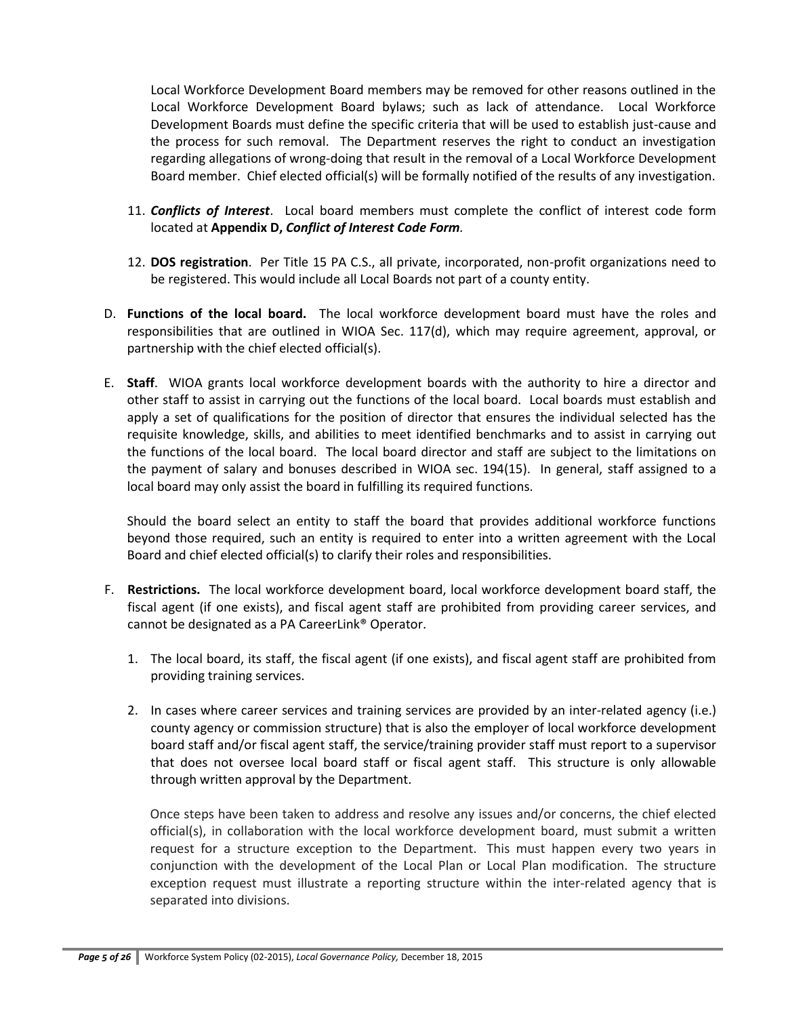Local Workforce Development Board members may be removed for other reasons outlined in the Local Workforce Development Board bylaws; such as lack of attendance. Local Workforce Development Boards must define the specific criteria that will be used to establish just-cause and the process for such removal. The Department reserves the right to conduct an investigation regarding allegations of wrong-doing that result in the removal of a Local Workforce Development Board member. Chief elected official(s) will be formally notified of the results of any investigation.

- 11. *Conflicts of Interest*. Local board members must complete the conflict of interest code form located at **Appendix D,** *Conflict of Interest Code Form.*
- 12. **DOS registration**. Per Title 15 PA C.S., all private, incorporated, non-profit organizations need to be registered. This would include all Local Boards not part of a county entity.
- D. **Functions of the local board.** The local workforce development board must have the roles and responsibilities that are outlined in WIOA Sec. 117(d), which may require agreement, approval, or partnership with the chief elected official(s).
- E. **Staff**. WIOA grants local workforce development boards with the authority to hire a director and other staff to assist in carrying out the functions of the local board. Local boards must establish and apply a set of qualifications for the position of director that ensures the individual selected has the requisite knowledge, skills, and abilities to meet identified benchmarks and to assist in carrying out the functions of the local board. The local board director and staff are subject to the limitations on the payment of salary and bonuses described in WIOA sec. 194(15). In general, staff assigned to a local board may only assist the board in fulfilling its required functions.

Should the board select an entity to staff the board that provides additional workforce functions beyond those required, such an entity is required to enter into a written agreement with the Local Board and chief elected official(s) to clarify their roles and responsibilities.

- F. **Restrictions.** The local workforce development board, local workforce development board staff, the fiscal agent (if one exists), and fiscal agent staff are prohibited from providing career services, and cannot be designated as a PA CareerLink® Operator.
	- 1. The local board, its staff, the fiscal agent (if one exists), and fiscal agent staff are prohibited from providing training services.
	- 2. In cases where career services and training services are provided by an inter-related agency (i.e.) county agency or commission structure) that is also the employer of local workforce development board staff and/or fiscal agent staff, the service/training provider staff must report to a supervisor that does not oversee local board staff or fiscal agent staff. This structure is only allowable through written approval by the Department.

Once steps have been taken to address and resolve any issues and/or concerns, the chief elected official(s), in collaboration with the local workforce development board, must submit a written request for a structure exception to the Department. This must happen every two years in conjunction with the development of the Local Plan or Local Plan modification. The structure exception request must illustrate a reporting structure within the inter-related agency that is separated into divisions.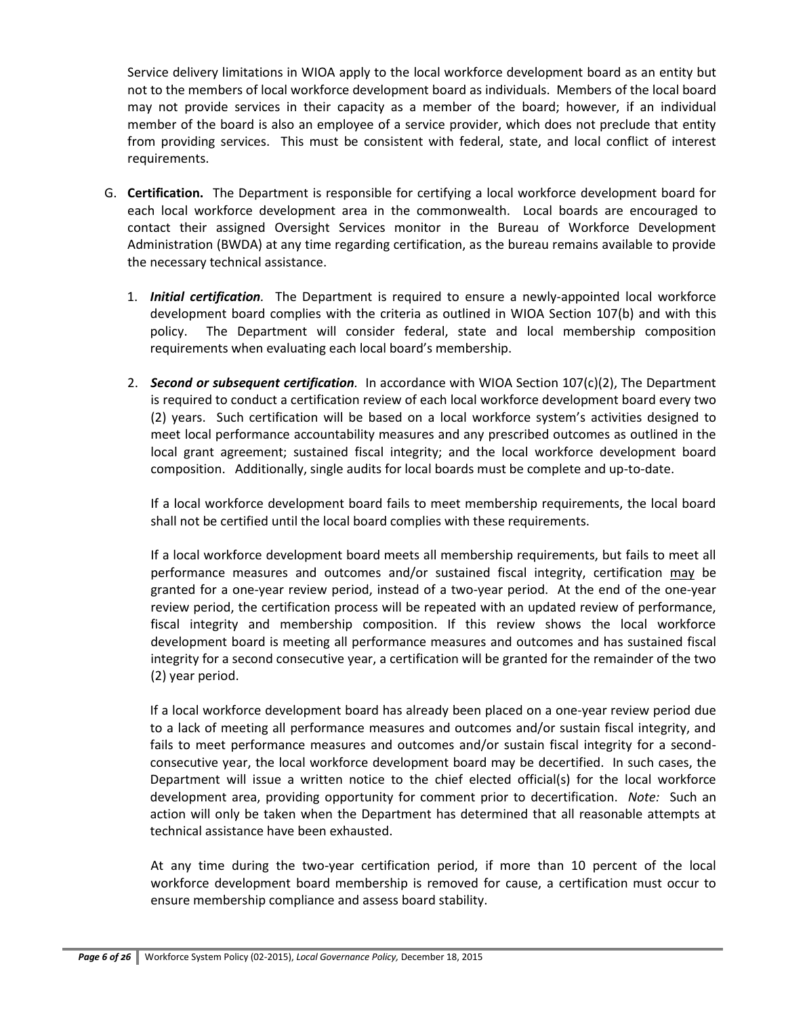Service delivery limitations in WIOA apply to the local workforce development board as an entity but not to the members of local workforce development board as individuals. Members of the local board may not provide services in their capacity as a member of the board; however, if an individual member of the board is also an employee of a service provider, which does not preclude that entity from providing services. This must be consistent with federal, state, and local conflict of interest requirements.

- G. **Certification.** The Department is responsible for certifying a local workforce development board for each local workforce development area in the commonwealth. Local boards are encouraged to contact their assigned Oversight Services monitor in the Bureau of Workforce Development Administration (BWDA) at any time regarding certification, as the bureau remains available to provide the necessary technical assistance.
	- 1. *Initial certification.* The Department is required to ensure a newly-appointed local workforce development board complies with the criteria as outlined in WIOA Section 107(b) and with this policy. The Department will consider federal, state and local membership composition requirements when evaluating each local board's membership.
	- 2. *Second or subsequent certification.* In accordance with WIOA Section 107(c)(2), The Department is required to conduct a certification review of each local workforce development board every two (2) years. Such certification will be based on a local workforce system's activities designed to meet local performance accountability measures and any prescribed outcomes as outlined in the local grant agreement; sustained fiscal integrity; and the local workforce development board composition. Additionally, single audits for local boards must be complete and up-to-date.

If a local workforce development board fails to meet membership requirements, the local board shall not be certified until the local board complies with these requirements.

If a local workforce development board meets all membership requirements, but fails to meet all performance measures and outcomes and/or sustained fiscal integrity, certification may be granted for a one-year review period, instead of a two-year period. At the end of the one-year review period, the certification process will be repeated with an updated review of performance, fiscal integrity and membership composition. If this review shows the local workforce development board is meeting all performance measures and outcomes and has sustained fiscal integrity for a second consecutive year, a certification will be granted for the remainder of the two (2) year period.

If a local workforce development board has already been placed on a one-year review period due to a lack of meeting all performance measures and outcomes and/or sustain fiscal integrity, and fails to meet performance measures and outcomes and/or sustain fiscal integrity for a secondconsecutive year, the local workforce development board may be decertified. In such cases, the Department will issue a written notice to the chief elected official(s) for the local workforce development area, providing opportunity for comment prior to decertification. *Note:* Such an action will only be taken when the Department has determined that all reasonable attempts at technical assistance have been exhausted.

At any time during the two-year certification period, if more than 10 percent of the local workforce development board membership is removed for cause, a certification must occur to ensure membership compliance and assess board stability.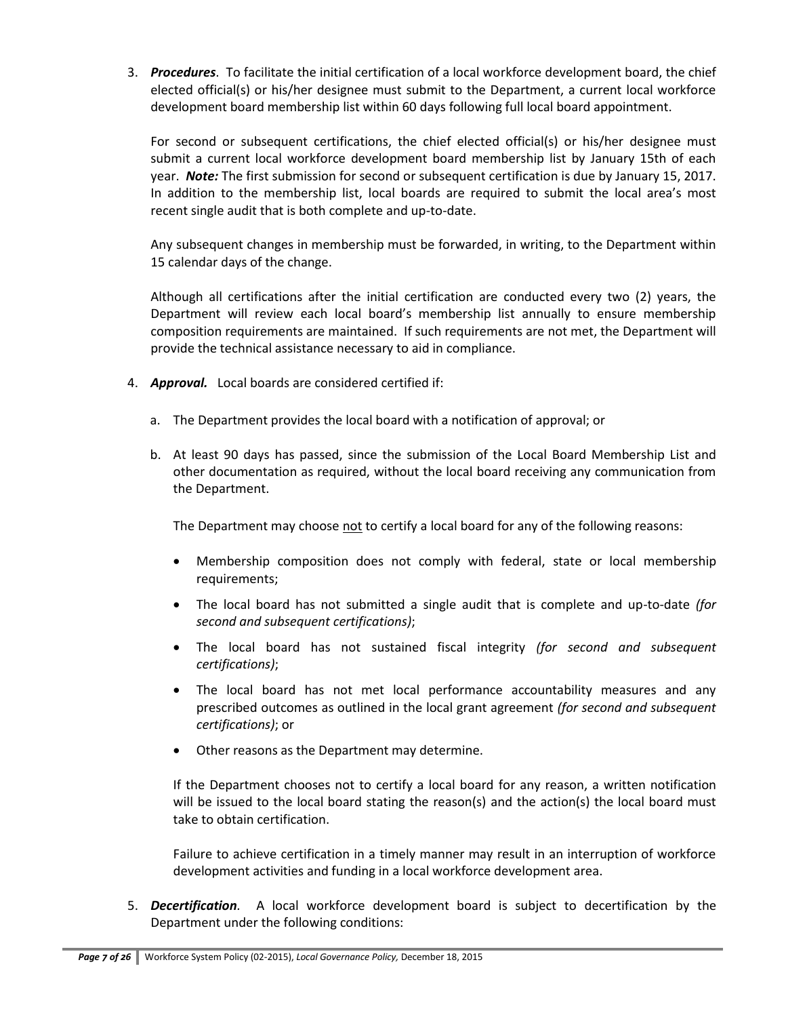3. *Procedures*. To facilitate the initial certification of a local workforce development board, the chief elected official(s) or his/her designee must submit to the Department, a current local workforce development board membership list within 60 days following full local board appointment.

For second or subsequent certifications, the chief elected official(s) or his/her designee must submit a current local workforce development board membership list by January 15th of each year. *Note:* The first submission for second or subsequent certification is due by January 15, 2017. In addition to the membership list, local boards are required to submit the local area's most recent single audit that is both complete and up-to-date.

Any subsequent changes in membership must be forwarded, in writing, to the Department within 15 calendar days of the change.

Although all certifications after the initial certification are conducted every two (2) years, the Department will review each local board's membership list annually to ensure membership composition requirements are maintained. If such requirements are not met, the Department will provide the technical assistance necessary to aid in compliance.

- 4. *Approval.* Local boards are considered certified if:
	- a. The Department provides the local board with a notification of approval; or
	- b. At least 90 days has passed, since the submission of the Local Board Membership List and other documentation as required, without the local board receiving any communication from the Department.

The Department may choose not to certify a local board for any of the following reasons:

- Membership composition does not comply with federal, state or local membership requirements;
- The local board has not submitted a single audit that is complete and up-to-date *(for second and subsequent certifications)*;
- The local board has not sustained fiscal integrity *(for second and subsequent certifications)*;
- The local board has not met local performance accountability measures and any prescribed outcomes as outlined in the local grant agreement *(for second and subsequent certifications)*; or
- Other reasons as the Department may determine.

If the Department chooses not to certify a local board for any reason, a written notification will be issued to the local board stating the reason(s) and the action(s) the local board must take to obtain certification.

Failure to achieve certification in a timely manner may result in an interruption of workforce development activities and funding in a local workforce development area.

5. *Decertification.* A local workforce development board is subject to decertification by the Department under the following conditions: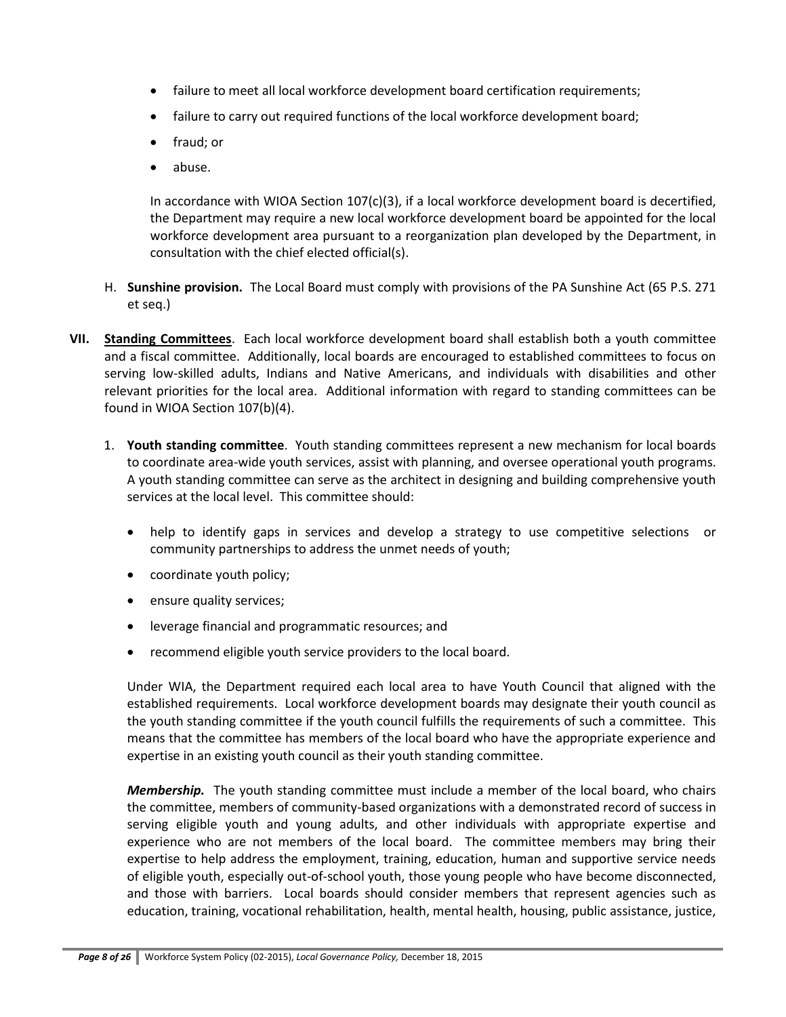- failure to meet all local workforce development board certification requirements;
- failure to carry out required functions of the local workforce development board;
- fraud; or
- abuse.

In accordance with WIOA Section 107(c)(3), if a local workforce development board is decertified, the Department may require a new local workforce development board be appointed for the local workforce development area pursuant to a reorganization plan developed by the Department, in consultation with the chief elected official(s).

- H. **Sunshine provision.** The Local Board must comply with provisions of the PA Sunshine Act (65 P.S. 271 et seq.)
- **VII. Standing Committees**. Each local workforce development board shall establish both a youth committee and a fiscal committee. Additionally, local boards are encouraged to established committees to focus on serving low-skilled adults, Indians and Native Americans, and individuals with disabilities and other relevant priorities for the local area. Additional information with regard to standing committees can be found in WIOA Section 107(b)(4).
	- 1. **Youth standing committee**. Youth standing committees represent a new mechanism for local boards to coordinate area-wide youth services, assist with planning, and oversee operational youth programs. A youth standing committee can serve as the architect in designing and building comprehensive youth services at the local level. This committee should:
		- help to identify gaps in services and develop a strategy to use competitive selections or community partnerships to address the unmet needs of youth;
		- coordinate youth policy;
		- ensure quality services;
		- leverage financial and programmatic resources; and
		- recommend eligible youth service providers to the local board.

Under WIA, the Department required each local area to have Youth Council that aligned with the established requirements. Local workforce development boards may designate their youth council as the youth standing committee if the youth council fulfills the requirements of such a committee. This means that the committee has members of the local board who have the appropriate experience and expertise in an existing youth council as their youth standing committee.

*Membership.* The youth standing committee must include a member of the local board, who chairs the committee, members of community-based organizations with a demonstrated record of success in serving eligible youth and young adults, and other individuals with appropriate expertise and experience who are not members of the local board. The committee members may bring their expertise to help address the employment, training, education, human and supportive service needs of eligible youth, especially out-of-school youth, those young people who have become disconnected, and those with barriers. Local boards should consider members that represent agencies such as education, training, vocational rehabilitation, health, mental health, housing, public assistance, justice,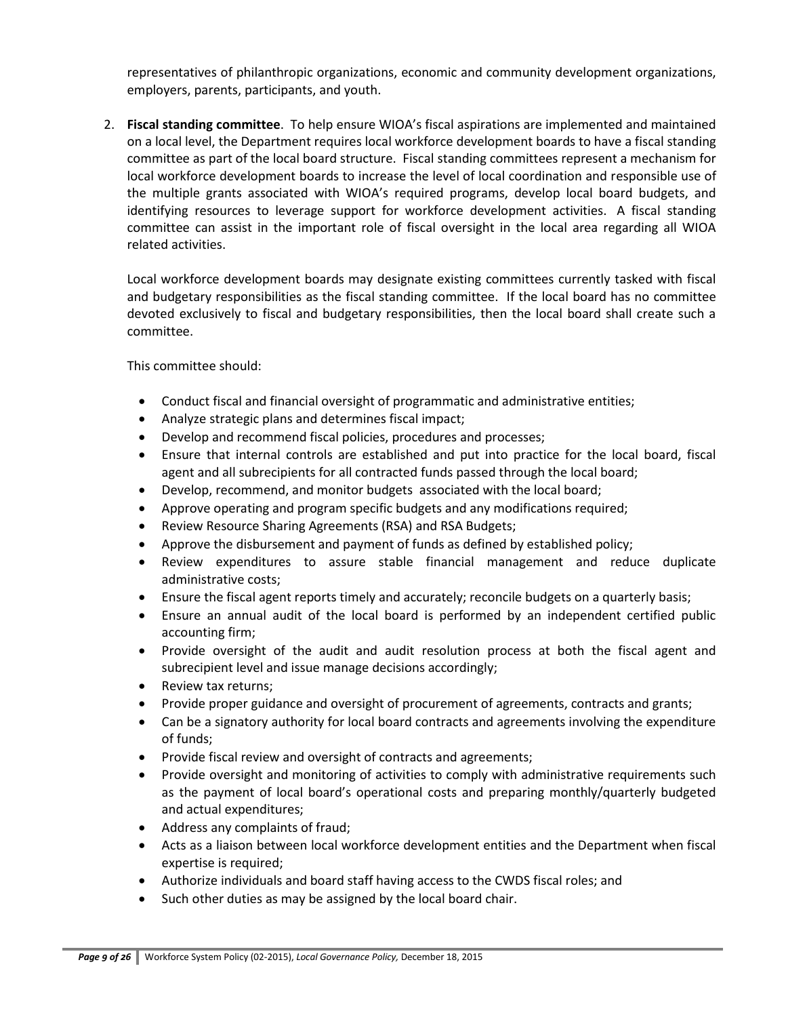representatives of philanthropic organizations, economic and community development organizations, employers, parents, participants, and youth.

2. **Fiscal standing committee**. To help ensure WIOA's fiscal aspirations are implemented and maintained on a local level, the Department requires local workforce development boards to have a fiscal standing committee as part of the local board structure. Fiscal standing committees represent a mechanism for local workforce development boards to increase the level of local coordination and responsible use of the multiple grants associated with WIOA's required programs, develop local board budgets, and identifying resources to leverage support for workforce development activities. A fiscal standing committee can assist in the important role of fiscal oversight in the local area regarding all WIOA related activities.

Local workforce development boards may designate existing committees currently tasked with fiscal and budgetary responsibilities as the fiscal standing committee. If the local board has no committee devoted exclusively to fiscal and budgetary responsibilities, then the local board shall create such a committee.

This committee should:

- Conduct fiscal and financial oversight of programmatic and administrative entities;
- Analyze strategic plans and determines fiscal impact;
- Develop and recommend fiscal policies, procedures and processes;
- Ensure that internal controls are established and put into practice for the local board, fiscal agent and all subrecipients for all contracted funds passed through the local board;
- Develop, recommend, and monitor budgets associated with the local board;
- Approve operating and program specific budgets and any modifications required;
- Review Resource Sharing Agreements (RSA) and RSA Budgets;
- Approve the disbursement and payment of funds as defined by established policy;
- Review expenditures to assure stable financial management and reduce duplicate administrative costs;
- Ensure the fiscal agent reports timely and accurately; reconcile budgets on a quarterly basis;
- Ensure an annual audit of the local board is performed by an independent certified public accounting firm;
- Provide oversight of the audit and audit resolution process at both the fiscal agent and subrecipient level and issue manage decisions accordingly;
- Review tax returns;
- Provide proper guidance and oversight of procurement of agreements, contracts and grants;
- Can be a signatory authority for local board contracts and agreements involving the expenditure of funds;
- Provide fiscal review and oversight of contracts and agreements;
- Provide oversight and monitoring of activities to comply with administrative requirements such as the payment of local board's operational costs and preparing monthly/quarterly budgeted and actual expenditures;
- Address any complaints of fraud;
- Acts as a liaison between local workforce development entities and the Department when fiscal expertise is required;
- Authorize individuals and board staff having access to the CWDS fiscal roles; and
- Such other duties as may be assigned by the local board chair.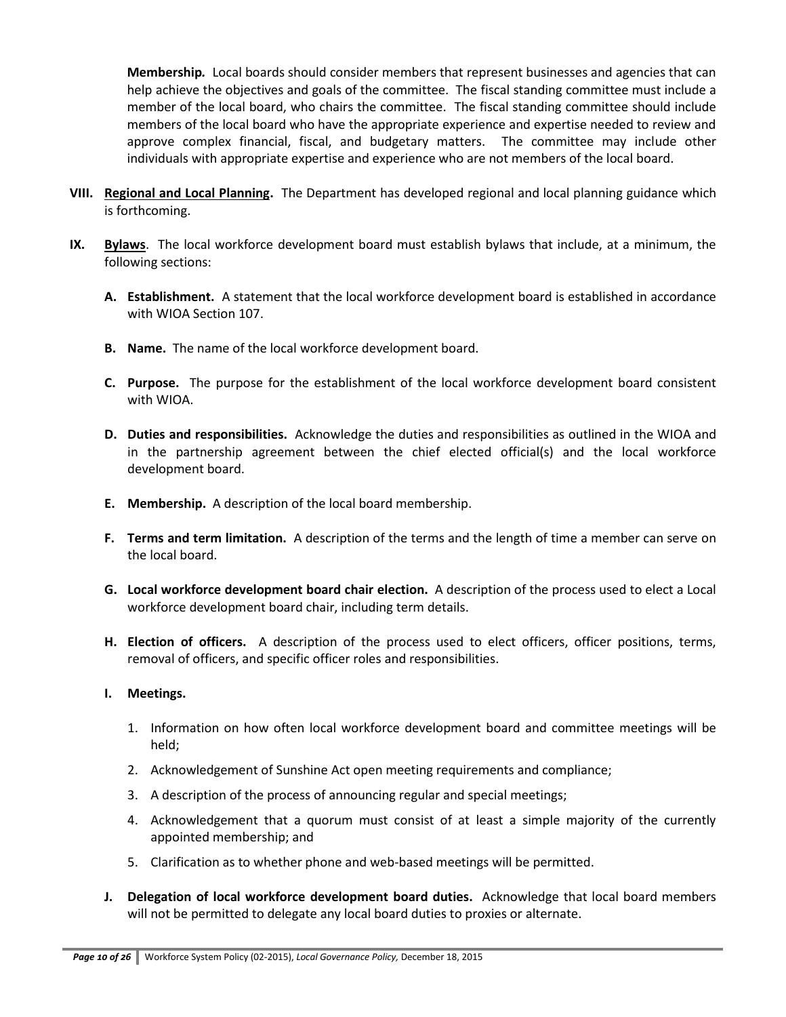**Membership***.* Local boards should consider members that represent businesses and agencies that can help achieve the objectives and goals of the committee. The fiscal standing committee must include a member of the local board, who chairs the committee. The fiscal standing committee should include members of the local board who have the appropriate experience and expertise needed to review and approve complex financial, fiscal, and budgetary matters. The committee may include other individuals with appropriate expertise and experience who are not members of the local board.

- **VIII. Regional and Local Planning.** The Department has developed regional and local planning guidance which is forthcoming.
- **IX. Bylaws**. The local workforce development board must establish bylaws that include, at a minimum, the following sections:
	- **A. Establishment.** A statement that the local workforce development board is established in accordance with WIOA Section 107.
	- **B. Name.** The name of the local workforce development board.
	- **C. Purpose.** The purpose for the establishment of the local workforce development board consistent with WIOA.
	- **D. Duties and responsibilities.** Acknowledge the duties and responsibilities as outlined in the WIOA and in the partnership agreement between the chief elected official(s) and the local workforce development board.
	- **E. Membership.** A description of the local board membership.
	- **F. Terms and term limitation.** A description of the terms and the length of time a member can serve on the local board.
	- **G. Local workforce development board chair election.** A description of the process used to elect a Local workforce development board chair, including term details.
	- **H. Election of officers.** A description of the process used to elect officers, officer positions, terms, removal of officers, and specific officer roles and responsibilities.
	- **I. Meetings.**
		- 1. Information on how often local workforce development board and committee meetings will be held;
		- 2. Acknowledgement of Sunshine Act open meeting requirements and compliance;
		- 3. A description of the process of announcing regular and special meetings;
		- 4. Acknowledgement that a quorum must consist of at least a simple majority of the currently appointed membership; and
		- 5. Clarification as to whether phone and web-based meetings will be permitted.
	- **J. Delegation of local workforce development board duties.** Acknowledge that local board members will not be permitted to delegate any local board duties to proxies or alternate.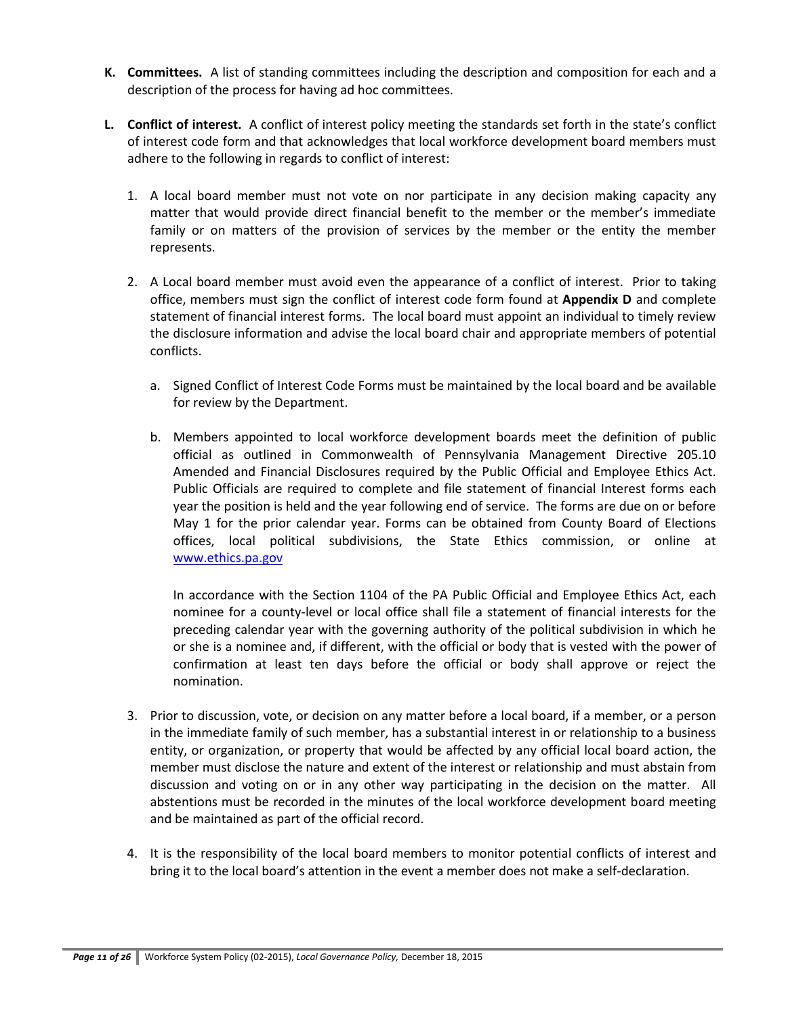- **K. Committees.** A list of standing committees including the description and composition for each and a description of the process for having ad hoc committees.
- **L. Conflict of interest.** A conflict of interest policy meeting the standards set forth in the state's conflict of interest code form and that acknowledges that local workforce development board members must adhere to the following in regards to conflict of interest:
	- 1. A local board member must not vote on nor participate in any decision making capacity any matter that would provide direct financial benefit to the member or the member's immediate family or on matters of the provision of services by the member or the entity the member represents.
	- 2. A Local board member must avoid even the appearance of a conflict of interest. Prior to taking office, members must sign the conflict of interest code form found at **Appendix D** and complete statement of financial interest forms. The local board must appoint an individual to timely review the disclosure information and advise the local board chair and appropriate members of potential conflicts.
		- a. Signed Conflict of Interest Code Forms must be maintained by the local board and be available for review by the Department.
		- b. Members appointed to local workforce development boards meet the definition of public official as outlined in Commonwealth of Pennsylvania Management Directive 205.10 Amended and Financial Disclosures required by the Public Official and Employee Ethics Act. Public Officials are required to complete and file statement of financial Interest forms each year the position is held and the year following end of service. The forms are due on or before May 1 for the prior calendar year. Forms can be obtained from County Board of Elections offices, local political subdivisions, the State Ethics commission, or online at [www.ethics.pa.gov](http://www.ethics.pa.gov/)

In accordance with the Section 1104 of the PA Public Official and Employee Ethics Act, each nominee for a county-level or local office shall file a statement of financial interests for the preceding calendar year with the governing authority of the political subdivision in which he or she is a nominee and, if different, with the official or body that is vested with the power of confirmation at least ten days before the official or body shall approve or reject the nomination.

- 3. Prior to discussion, vote, or decision on any matter before a local board, if a member, or a person in the immediate family of such member, has a substantial interest in or relationship to a business entity, or organization, or property that would be affected by any official local board action, the member must disclose the nature and extent of the interest or relationship and must abstain from discussion and voting on or in any other way participating in the decision on the matter. All abstentions must be recorded in the minutes of the local workforce development board meeting and be maintained as part of the official record.
- 4. It is the responsibility of the local board members to monitor potential conflicts of interest and bring it to the local board's attention in the event a member does not make a self-declaration.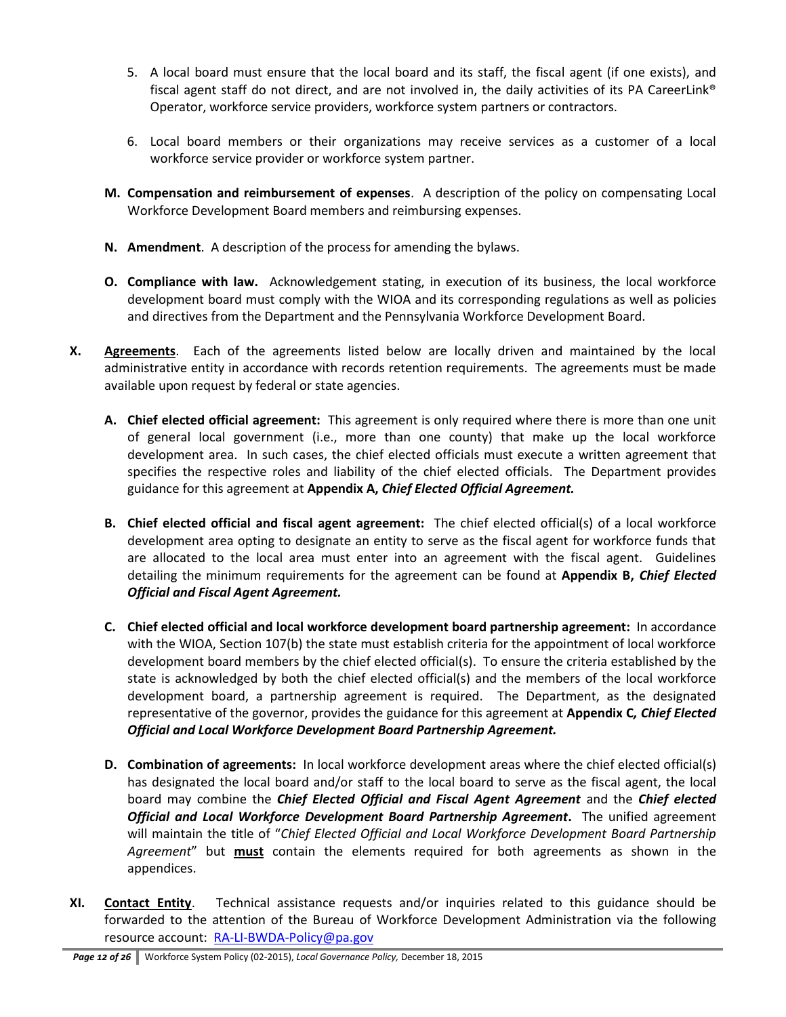- 5. A local board must ensure that the local board and its staff, the fiscal agent (if one exists), and fiscal agent staff do not direct, and are not involved in, the daily activities of its PA CareerLink® Operator, workforce service providers, workforce system partners or contractors.
- 6. Local board members or their organizations may receive services as a customer of a local workforce service provider or workforce system partner.
- **M. Compensation and reimbursement of expenses**. A description of the policy on compensating Local Workforce Development Board members and reimbursing expenses.
- **N. Amendment**. A description of the process for amending the bylaws.
- **O. Compliance with law.** Acknowledgement stating, in execution of its business, the local workforce development board must comply with the WIOA and its corresponding regulations as well as policies and directives from the Department and the Pennsylvania Workforce Development Board.
- **X. Agreements**. Each of the agreements listed below are locally driven and maintained by the local administrative entity in accordance with records retention requirements. The agreements must be made available upon request by federal or state agencies.
	- **A. Chief elected official agreement:** This agreement is only required where there is more than one unit of general local government (i.e., more than one county) that make up the local workforce development area. In such cases, the chief elected officials must execute a written agreement that specifies the respective roles and liability of the chief elected officials. The Department provides guidance for this agreement at **Appendix A,** *Chief Elected Official Agreement.*
	- **B. Chief elected official and fiscal agent agreement:** The chief elected official(s) of a local workforce development area opting to designate an entity to serve as the fiscal agent for workforce funds that are allocated to the local area must enter into an agreement with the fiscal agent. Guidelines detailing the minimum requirements for the agreement can be found at **Appendix B,** *Chief Elected Official and Fiscal Agent Agreement.*
	- **C. Chief elected official and local workforce development board partnership agreement:** In accordance with the WIOA, Section 107(b) the state must establish criteria for the appointment of local workforce development board members by the chief elected official(s). To ensure the criteria established by the state is acknowledged by both the chief elected official(s) and the members of the local workforce development board, a partnership agreement is required. The Department, as the designated representative of the governor, provides the guidance for this agreement at **Appendix C***, Chief Elected Official and Local Workforce Development Board Partnership Agreement.*
	- **D. Combination of agreements:** In local workforce development areas where the chief elected official(s) has designated the local board and/or staff to the local board to serve as the fiscal agent, the local board may combine the *Chief Elected Official and Fiscal Agent Agreement* and the *Chief elected Official and Local Workforce Development Board Partnership Agreement***.** The unified agreement will maintain the title of "*Chief Elected Official and Local Workforce Development Board Partnership Agreement*" but **must** contain the elements required for both agreements as shown in the appendices.
- **XI. Contact Entity**. Technical assistance requests and/or inquiries related to this guidance should be forwarded to the attention of the Bureau of Workforce Development Administration via the following resource account: [RA-LI-BWDA-Policy@pa.gov](mailto:RA-LI-BWDA-Policy@pa.gov)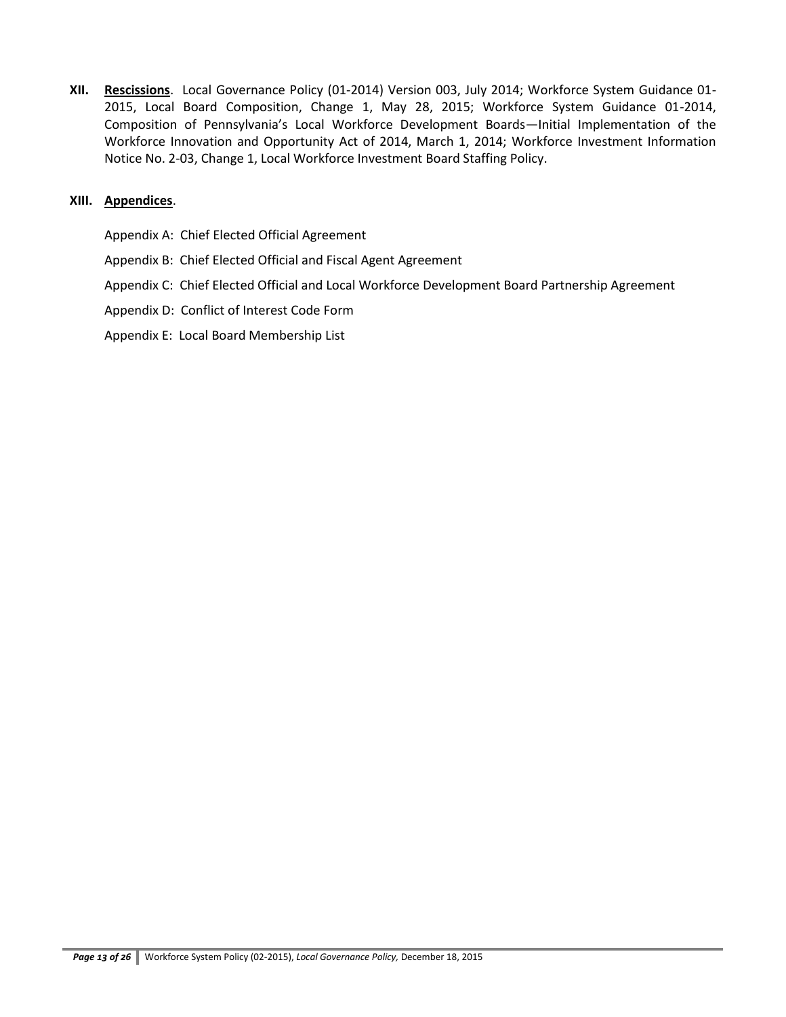**XII. Rescissions**. Local Governance Policy (01-2014) Version 003, July 2014; Workforce System Guidance 01- 2015, Local Board Composition, Change 1, May 28, 2015; Workforce System Guidance 01-2014, Composition of Pennsylvania's Local Workforce Development Boards—Initial Implementation of the Workforce Innovation and Opportunity Act of 2014, March 1, 2014; Workforce Investment Information Notice No. 2-03, Change 1, Local Workforce Investment Board Staffing Policy.

### **XIII. Appendices**.

Appendix A: Chief Elected Official Agreement

- Appendix B: Chief Elected Official and Fiscal Agent Agreement
- Appendix C: Chief Elected Official and Local Workforce Development Board Partnership Agreement
- Appendix D: Conflict of Interest Code Form
- Appendix E: Local Board Membership List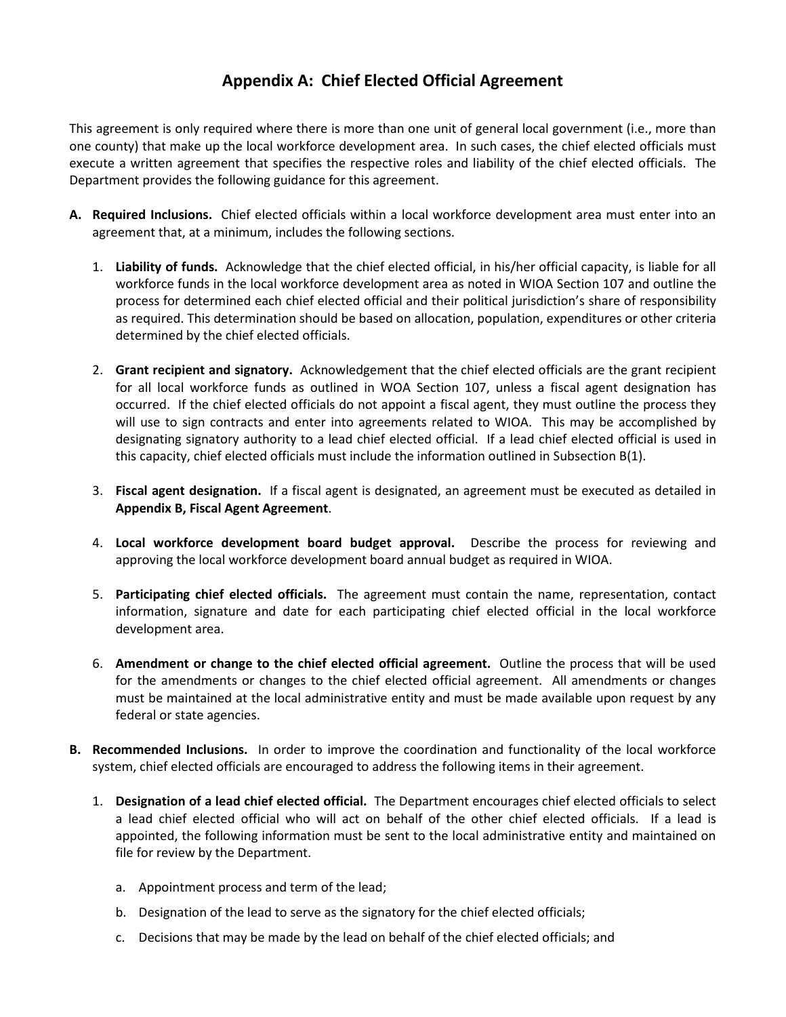# **Appendix A: Chief Elected Official Agreement**

This agreement is only required where there is more than one unit of general local government (i.e., more than one county) that make up the local workforce development area. In such cases, the chief elected officials must execute a written agreement that specifies the respective roles and liability of the chief elected officials. The Department provides the following guidance for this agreement.

- **A. Required Inclusions.** Chief elected officials within a local workforce development area must enter into an agreement that, at a minimum, includes the following sections.
	- 1. **Liability of funds.** Acknowledge that the chief elected official, in his/her official capacity, is liable for all workforce funds in the local workforce development area as noted in WIOA Section 107 and outline the process for determined each chief elected official and their political jurisdiction's share of responsibility as required. This determination should be based on allocation, population, expenditures or other criteria determined by the chief elected officials.
	- 2. **Grant recipient and signatory.** Acknowledgement that the chief elected officials are the grant recipient for all local workforce funds as outlined in WOA Section 107, unless a fiscal agent designation has occurred. If the chief elected officials do not appoint a fiscal agent, they must outline the process they will use to sign contracts and enter into agreements related to WIOA. This may be accomplished by designating signatory authority to a lead chief elected official. If a lead chief elected official is used in this capacity, chief elected officials must include the information outlined in Subsection B(1).
	- 3. **Fiscal agent designation.** If a fiscal agent is designated, an agreement must be executed as detailed in **Appendix B, Fiscal Agent Agreement**.
	- 4. **Local workforce development board budget approval.** Describe the process for reviewing and approving the local workforce development board annual budget as required in WIOA.
	- 5. **Participating chief elected officials.** The agreement must contain the name, representation, contact information, signature and date for each participating chief elected official in the local workforce development area.
	- 6. **Amendment or change to the chief elected official agreement.** Outline the process that will be used for the amendments or changes to the chief elected official agreement. All amendments or changes must be maintained at the local administrative entity and must be made available upon request by any federal or state agencies.
- **B. Recommended Inclusions.** In order to improve the coordination and functionality of the local workforce system, chief elected officials are encouraged to address the following items in their agreement.
	- 1. **Designation of a lead chief elected official.** The Department encourages chief elected officials to select a lead chief elected official who will act on behalf of the other chief elected officials. If a lead is appointed, the following information must be sent to the local administrative entity and maintained on file for review by the Department.
		- a. Appointment process and term of the lead;
		- b. Designation of the lead to serve as the signatory for the chief elected officials;
		- c. Decisions that may be made by the lead on behalf of the chief elected officials; and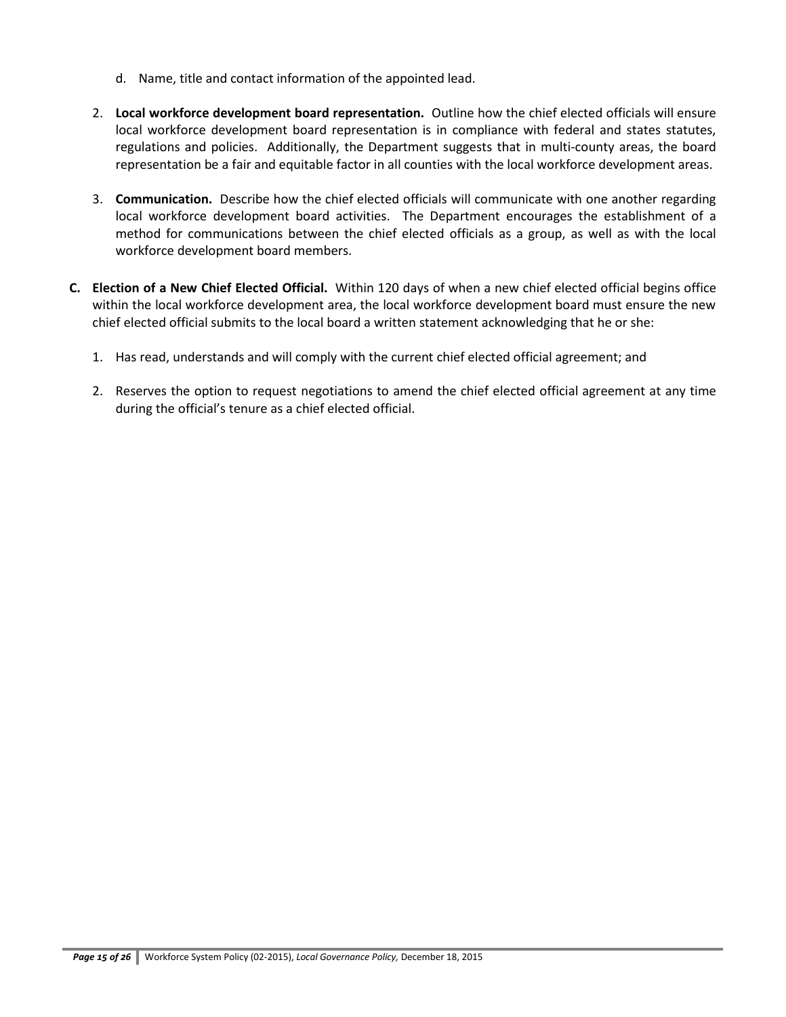- d. Name, title and contact information of the appointed lead.
- 2. **Local workforce development board representation.** Outline how the chief elected officials will ensure local workforce development board representation is in compliance with federal and states statutes, regulations and policies. Additionally, the Department suggests that in multi-county areas, the board representation be a fair and equitable factor in all counties with the local workforce development areas.
- 3. **Communication.** Describe how the chief elected officials will communicate with one another regarding local workforce development board activities. The Department encourages the establishment of a method for communications between the chief elected officials as a group, as well as with the local workforce development board members.
- **C. Election of a New Chief Elected Official.** Within 120 days of when a new chief elected official begins office within the local workforce development area, the local workforce development board must ensure the new chief elected official submits to the local board a written statement acknowledging that he or she:
	- 1. Has read, understands and will comply with the current chief elected official agreement; and
	- 2. Reserves the option to request negotiations to amend the chief elected official agreement at any time during the official's tenure as a chief elected official.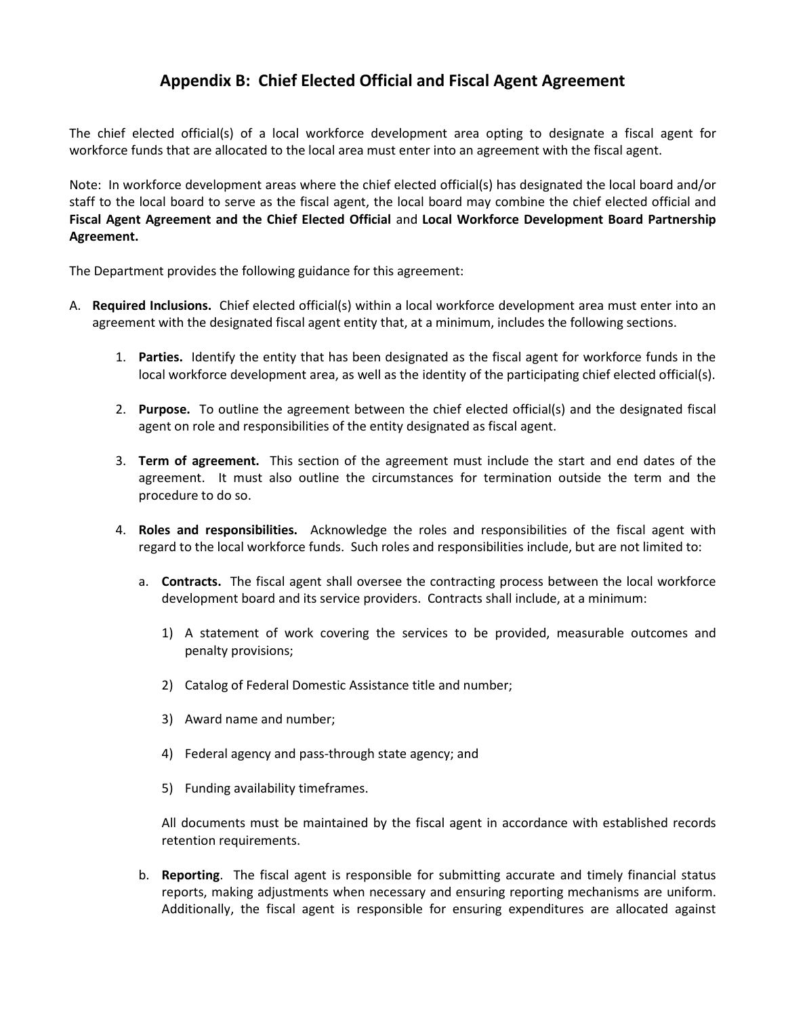## **Appendix B: Chief Elected Official and Fiscal Agent Agreement**

The chief elected official(s) of a local workforce development area opting to designate a fiscal agent for workforce funds that are allocated to the local area must enter into an agreement with the fiscal agent.

Note: In workforce development areas where the chief elected official(s) has designated the local board and/or staff to the local board to serve as the fiscal agent, the local board may combine the chief elected official and **Fiscal Agent Agreement and the Chief Elected Official** and **Local Workforce Development Board Partnership Agreement.**

The Department provides the following guidance for this agreement:

- A. **Required Inclusions.** Chief elected official(s) within a local workforce development area must enter into an agreement with the designated fiscal agent entity that, at a minimum, includes the following sections.
	- 1. **Parties.** Identify the entity that has been designated as the fiscal agent for workforce funds in the local workforce development area, as well as the identity of the participating chief elected official(s).
	- 2. **Purpose.** To outline the agreement between the chief elected official(s) and the designated fiscal agent on role and responsibilities of the entity designated as fiscal agent.
	- 3. **Term of agreement.** This section of the agreement must include the start and end dates of the agreement. It must also outline the circumstances for termination outside the term and the procedure to do so.
	- 4. **Roles and responsibilities.** Acknowledge the roles and responsibilities of the fiscal agent with regard to the local workforce funds. Such roles and responsibilities include, but are not limited to:
		- a. **Contracts.** The fiscal agent shall oversee the contracting process between the local workforce development board and its service providers. Contracts shall include, at a minimum:
			- 1) A statement of work covering the services to be provided, measurable outcomes and penalty provisions;
			- 2) Catalog of Federal Domestic Assistance title and number;
			- 3) Award name and number;
			- 4) Federal agency and pass-through state agency; and
			- 5) Funding availability timeframes.

All documents must be maintained by the fiscal agent in accordance with established records retention requirements.

b. **Reporting**. The fiscal agent is responsible for submitting accurate and timely financial status reports, making adjustments when necessary and ensuring reporting mechanisms are uniform. Additionally, the fiscal agent is responsible for ensuring expenditures are allocated against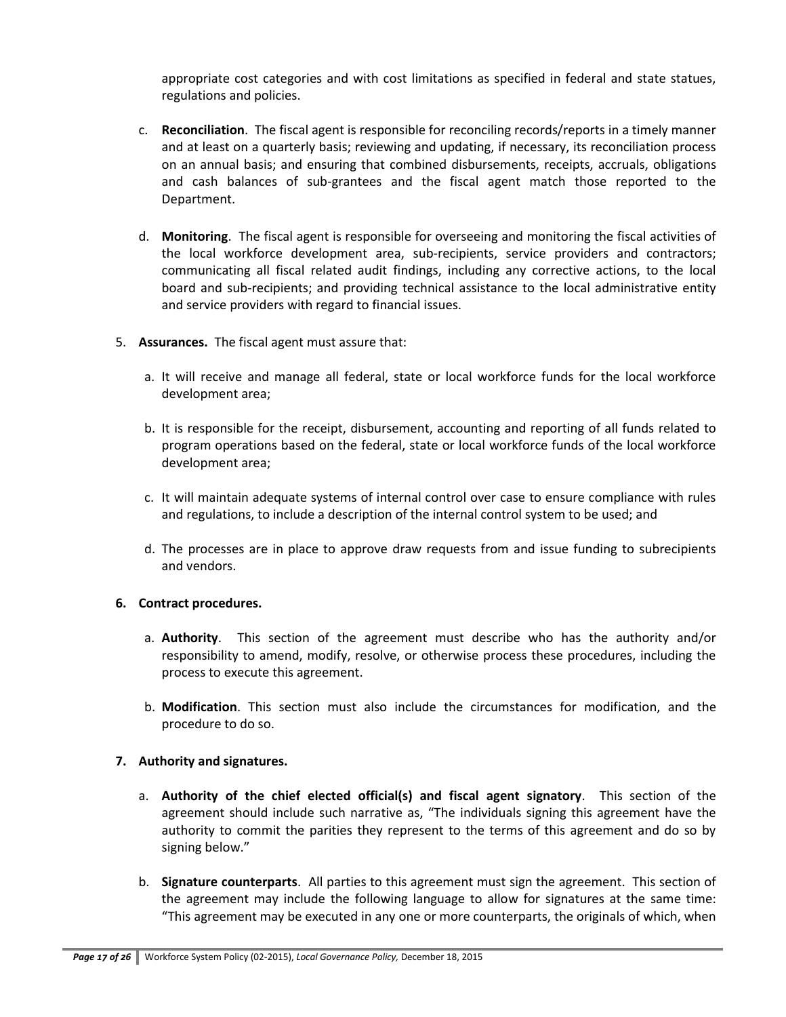appropriate cost categories and with cost limitations as specified in federal and state statues, regulations and policies.

- c. **Reconciliation**. The fiscal agent is responsible for reconciling records/reports in a timely manner and at least on a quarterly basis; reviewing and updating, if necessary, its reconciliation process on an annual basis; and ensuring that combined disbursements, receipts, accruals, obligations and cash balances of sub-grantees and the fiscal agent match those reported to the Department.
- d. **Monitoring**. The fiscal agent is responsible for overseeing and monitoring the fiscal activities of the local workforce development area, sub-recipients, service providers and contractors; communicating all fiscal related audit findings, including any corrective actions, to the local board and sub-recipients; and providing technical assistance to the local administrative entity and service providers with regard to financial issues.
- 5. **Assurances.** The fiscal agent must assure that:
	- a. It will receive and manage all federal, state or local workforce funds for the local workforce development area;
	- b. It is responsible for the receipt, disbursement, accounting and reporting of all funds related to program operations based on the federal, state or local workforce funds of the local workforce development area;
	- c. It will maintain adequate systems of internal control over case to ensure compliance with rules and regulations, to include a description of the internal control system to be used; and
	- d. The processes are in place to approve draw requests from and issue funding to subrecipients and vendors.

#### **6. Contract procedures.**

- a. **Authority**. This section of the agreement must describe who has the authority and/or responsibility to amend, modify, resolve, or otherwise process these procedures, including the process to execute this agreement.
- b. **Modification**. This section must also include the circumstances for modification, and the procedure to do so.

### **7. Authority and signatures.**

- a. **Authority of the chief elected official(s) and fiscal agent signatory**. This section of the agreement should include such narrative as, "The individuals signing this agreement have the authority to commit the parities they represent to the terms of this agreement and do so by signing below."
- b. **Signature counterparts**. All parties to this agreement must sign the agreement. This section of the agreement may include the following language to allow for signatures at the same time: "This agreement may be executed in any one or more counterparts, the originals of which, when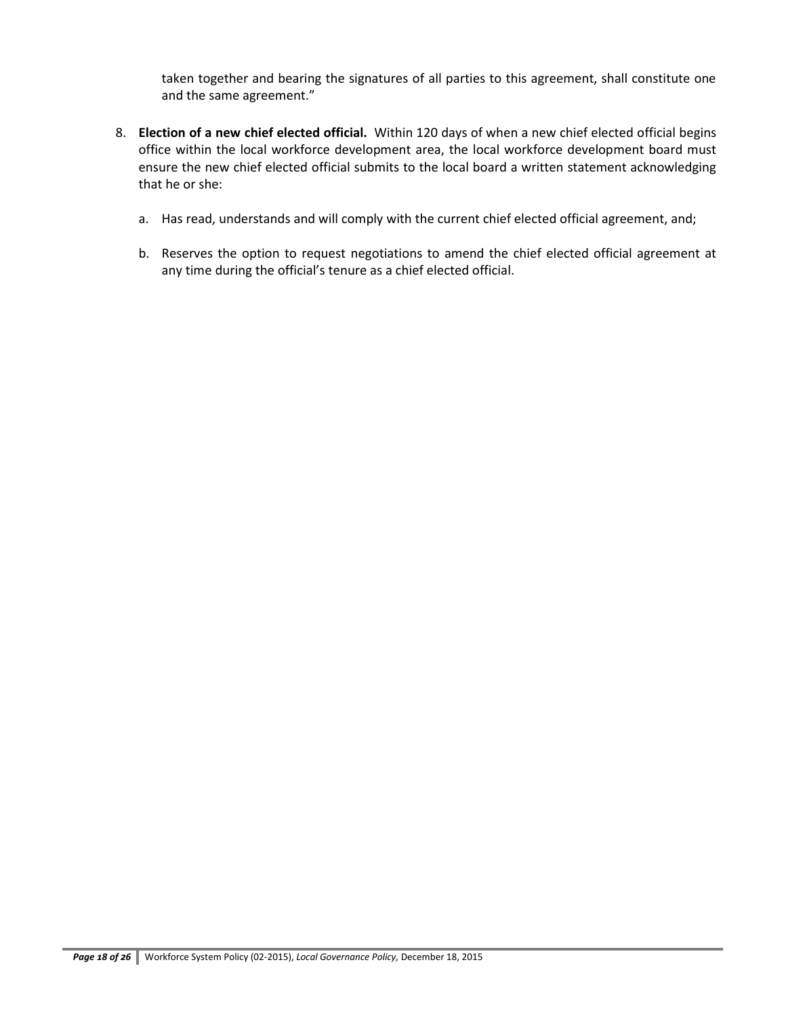taken together and bearing the signatures of all parties to this agreement, shall constitute one and the same agreement."

- 8. **Election of a new chief elected official.** Within 120 days of when a new chief elected official begins office within the local workforce development area, the local workforce development board must ensure the new chief elected official submits to the local board a written statement acknowledging that he or she:
	- a. Has read, understands and will comply with the current chief elected official agreement, and;
	- b. Reserves the option to request negotiations to amend the chief elected official agreement at any time during the official's tenure as a chief elected official.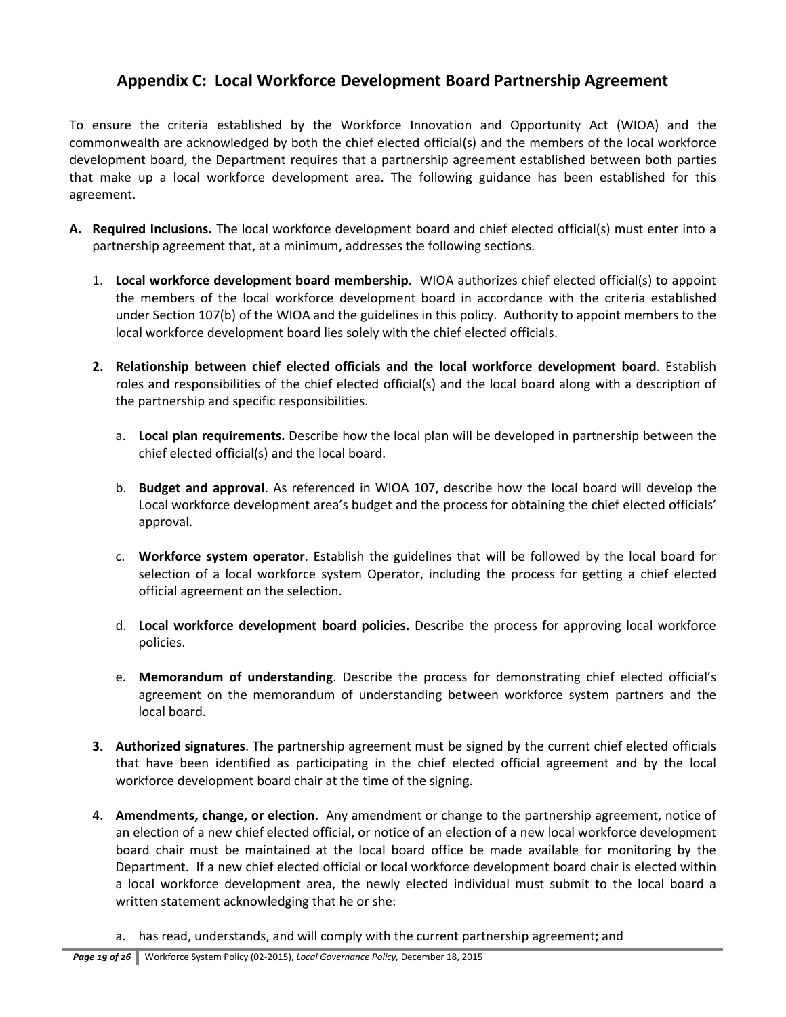## **Appendix C: Local Workforce Development Board Partnership Agreement**

To ensure the criteria established by the Workforce Innovation and Opportunity Act (WIOA) and the commonwealth are acknowledged by both the chief elected official(s) and the members of the local workforce development board, the Department requires that a partnership agreement established between both parties that make up a local workforce development area. The following guidance has been established for this agreement.

- **A. Required Inclusions.** The local workforce development board and chief elected official(s) must enter into a partnership agreement that, at a minimum, addresses the following sections.
	- 1. **Local workforce development board membership.** WIOA authorizes chief elected official(s) to appoint the members of the local workforce development board in accordance with the criteria established under Section 107(b) of the WIOA and the guidelines in this policy. Authority to appoint members to the local workforce development board lies solely with the chief elected officials.
	- **2. Relationship between chief elected officials and the local workforce development board**. Establish roles and responsibilities of the chief elected official(s) and the local board along with a description of the partnership and specific responsibilities.
		- a. **Local plan requirements.** Describe how the local plan will be developed in partnership between the chief elected official(s) and the local board.
		- b. **Budget and approval**. As referenced in WIOA 107, describe how the local board will develop the Local workforce development area's budget and the process for obtaining the chief elected officials' approval.
		- c. **Workforce system operator**. Establish the guidelines that will be followed by the local board for selection of a local workforce system Operator, including the process for getting a chief elected official agreement on the selection.
		- d. **Local workforce development board policies.** Describe the process for approving local workforce policies.
		- e. **Memorandum of understanding**. Describe the process for demonstrating chief elected official's agreement on the memorandum of understanding between workforce system partners and the local board.
	- **3. Authorized signatures**. The partnership agreement must be signed by the current chief elected officials that have been identified as participating in the chief elected official agreement and by the local workforce development board chair at the time of the signing.
	- 4. **Amendments, change, or election.** Any amendment or change to the partnership agreement, notice of an election of a new chief elected official, or notice of an election of a new local workforce development board chair must be maintained at the local board office be made available for monitoring by the Department. If a new chief elected official or local workforce development board chair is elected within a local workforce development area, the newly elected individual must submit to the local board a written statement acknowledging that he or she:
		- a. has read, understands, and will comply with the current partnership agreement; and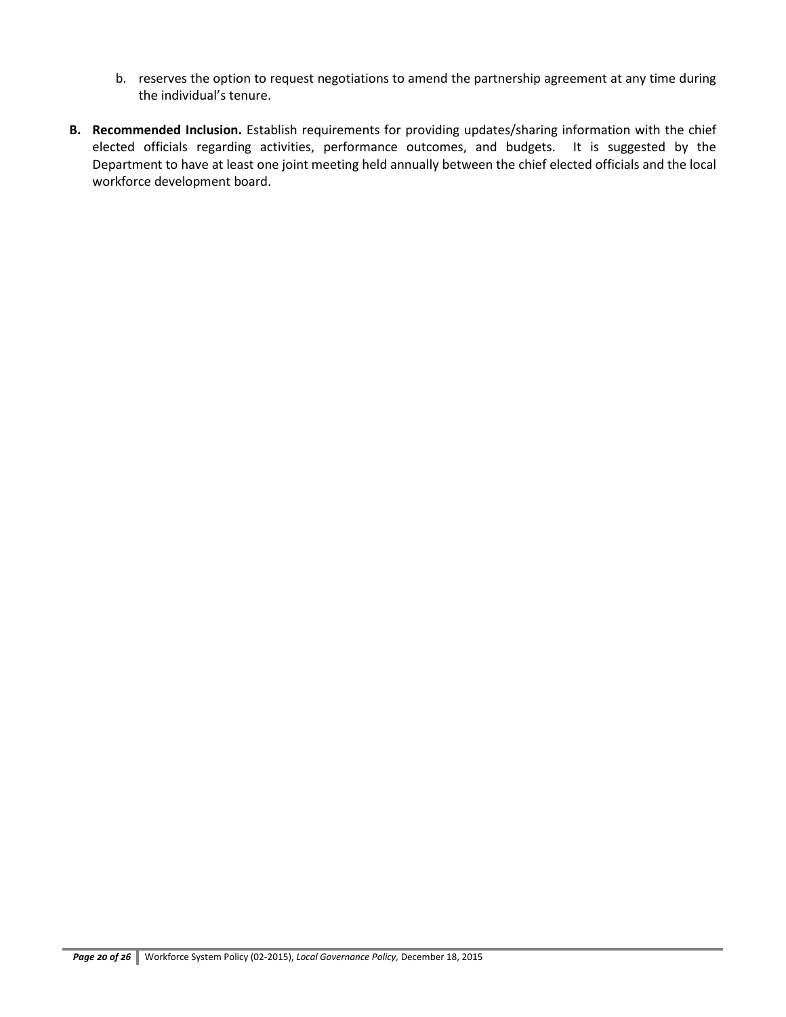- b. reserves the option to request negotiations to amend the partnership agreement at any time during the individual's tenure.
- **B. Recommended Inclusion.** Establish requirements for providing updates/sharing information with the chief elected officials regarding activities, performance outcomes, and budgets. It is suggested by the Department to have at least one joint meeting held annually between the chief elected officials and the local workforce development board.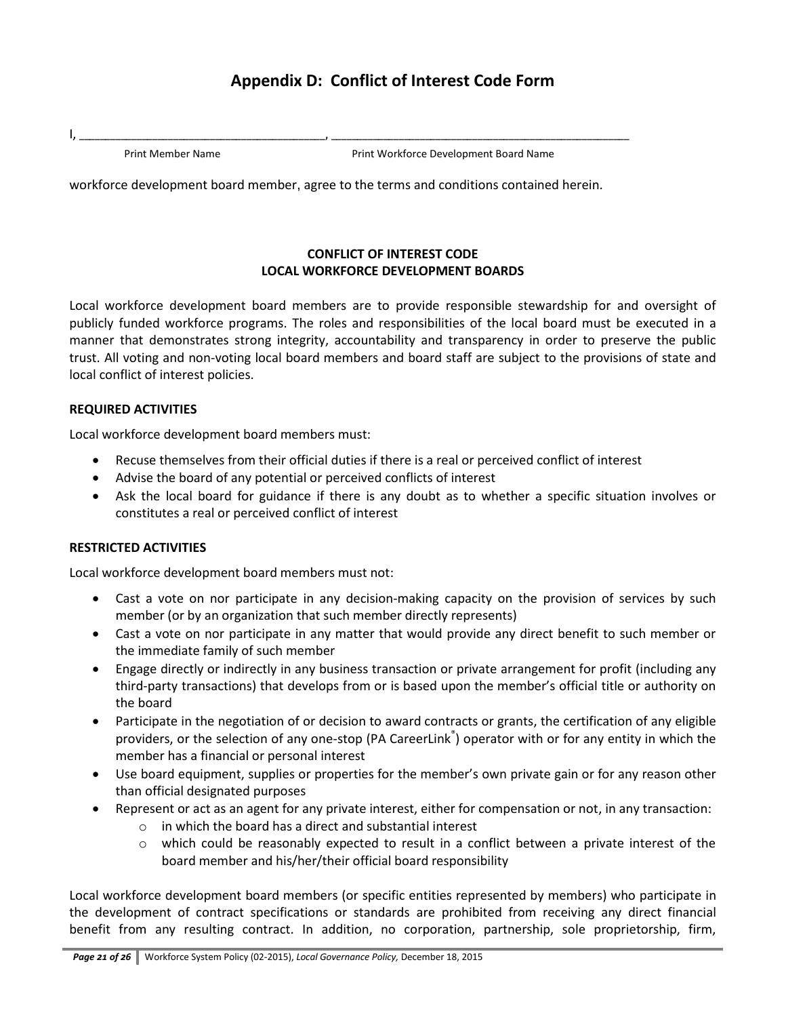# **Appendix D: Conflict of Interest Code Form**

I, \_\_\_\_\_\_\_\_\_\_\_\_\_\_\_\_\_\_\_\_\_\_\_\_\_\_\_\_\_\_\_\_\_\_\_\_\_\_\_\_\_\_\_\_\_\_\_, \_\_\_\_\_\_\_\_\_\_\_\_\_\_\_\_\_\_\_\_\_\_\_\_\_\_\_\_\_\_\_\_\_\_\_\_\_\_\_\_\_\_\_\_\_\_\_\_\_\_\_\_\_\_\_\_\_

Print Member Name **Print Workforce Development Board Name** 

workforce development board member, agree to the terms and conditions contained herein.

### **CONFLICT OF INTEREST CODE LOCAL WORKFORCE DEVELOPMENT BOARDS**

Local workforce development board members are to provide responsible stewardship for and oversight of publicly funded workforce programs. The roles and responsibilities of the local board must be executed in a manner that demonstrates strong integrity, accountability and transparency in order to preserve the public trust. All voting and non-voting local board members and board staff are subject to the provisions of state and local conflict of interest policies.

### **REQUIRED ACTIVITIES**

Local workforce development board members must:

- Recuse themselves from their official duties if there is a real or perceived conflict of interest
- Advise the board of any potential or perceived conflicts of interest
- Ask the local board for guidance if there is any doubt as to whether a specific situation involves or constitutes a real or perceived conflict of interest

### **RESTRICTED ACTIVITIES**

Local workforce development board members must not:

- Cast a vote on nor participate in any decision-making capacity on the provision of services by such member (or by an organization that such member directly represents)
- Cast a vote on nor participate in any matter that would provide any direct benefit to such member or the immediate family of such member
- Engage directly or indirectly in any business transaction or private arrangement for profit (including any third-party transactions) that develops from or is based upon the member's official title or authority on the board
- Participate in the negotiation of or decision to award contracts or grants, the certification of any eligible providers, or the selection of any one-stop (PA CareerLink<sup>®</sup>) operator with or for any entity in which the member has a financial or personal interest
- Use board equipment, supplies or properties for the member's own private gain or for any reason other than official designated purposes
- Represent or act as an agent for any private interest, either for compensation or not, in any transaction:
	- o in which the board has a direct and substantial interest
	- $\circ$  which could be reasonably expected to result in a conflict between a private interest of the board member and his/her/their official board responsibility

Local workforce development board members (or specific entities represented by members) who participate in the development of contract specifications or standards are prohibited from receiving any direct financial benefit from any resulting contract. In addition, no corporation, partnership, sole proprietorship, firm,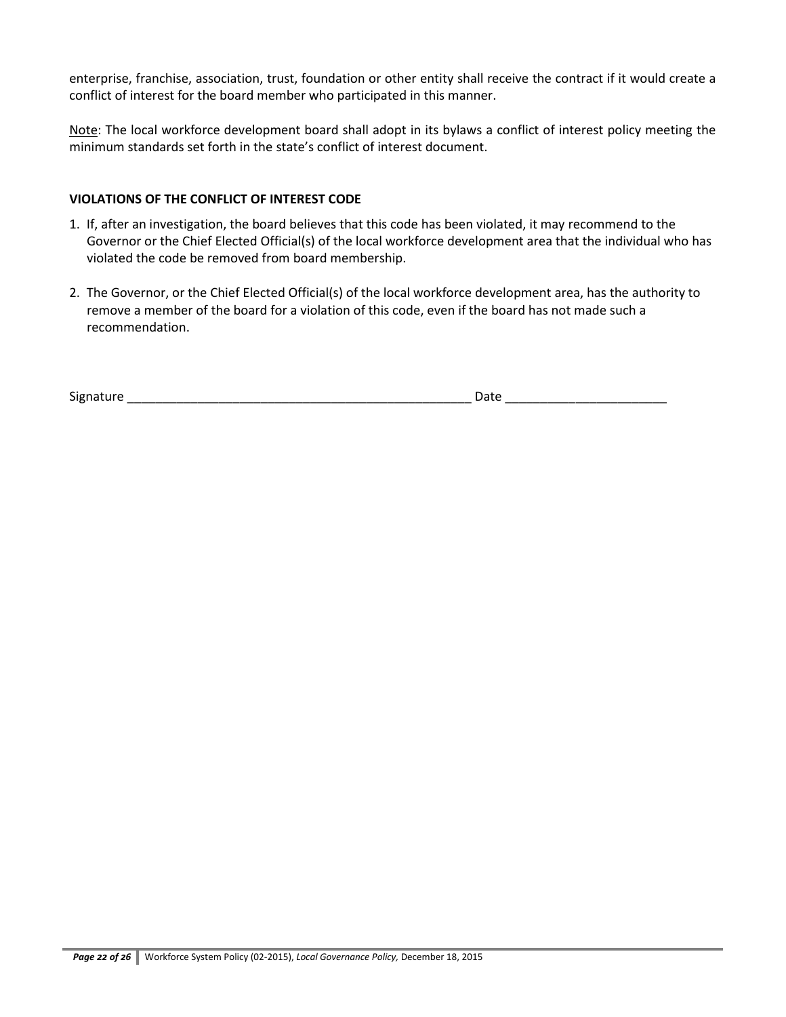enterprise, franchise, association, trust, foundation or other entity shall receive the contract if it would create a conflict of interest for the board member who participated in this manner.

Note: The local workforce development board shall adopt in its bylaws a conflict of interest policy meeting the minimum standards set forth in the state's conflict of interest document.

### **VIOLATIONS OF THE CONFLICT OF INTEREST CODE**

- 1. If, after an investigation, the board believes that this code has been violated, it may recommend to the Governor or the Chief Elected Official(s) of the local workforce development area that the individual who has violated the code be removed from board membership.
- 2. The Governor, or the Chief Elected Official(s) of the local workforce development area, has the authority to remove a member of the board for a violation of this code, even if the board has not made such a recommendation.

Signature \_\_\_\_\_\_\_\_\_\_\_\_\_\_\_\_\_\_\_\_\_\_\_\_\_\_\_\_\_\_\_\_\_\_\_\_\_\_\_\_\_\_\_\_\_\_\_\_\_ Date \_\_\_\_\_\_\_\_\_\_\_\_\_\_\_\_\_\_\_\_\_\_\_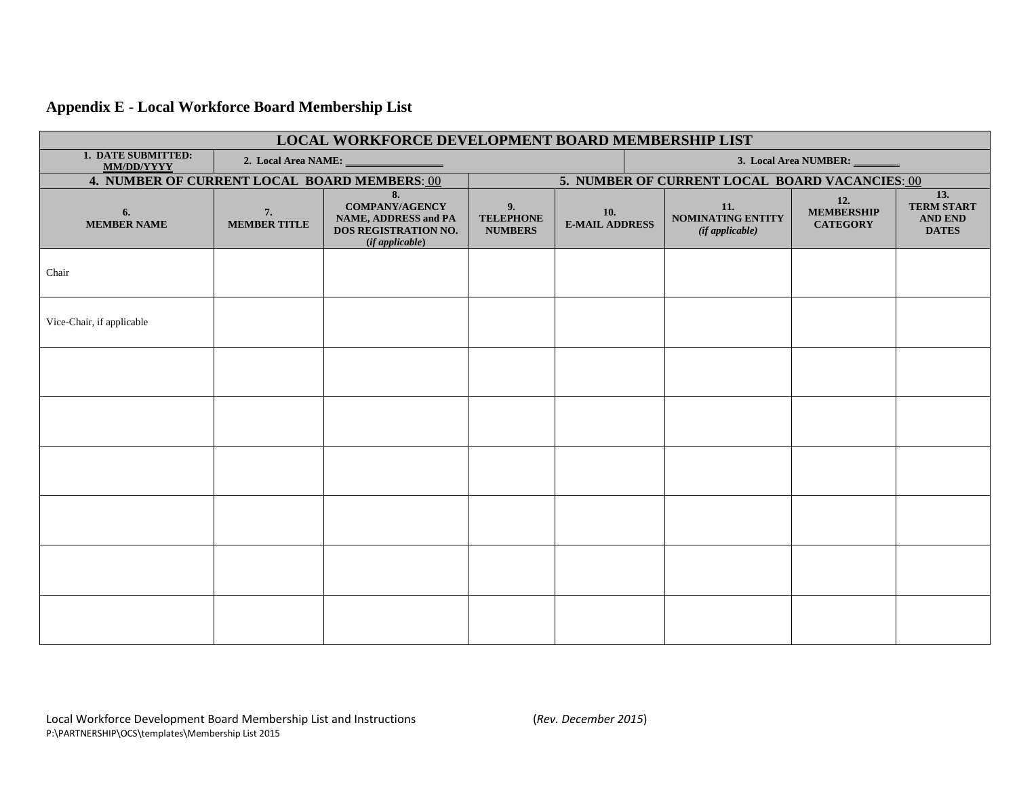# **Appendix E - Local Workforce Board Membership List**

| LOCAL WORKFORCE DEVELOPMENT BOARD MEMBERSHIP LIST |                           |                                                                                                       |                                                |                                     |                       |                                                         |                                             |                                                            |  |  |  |
|---------------------------------------------------|---------------------------|-------------------------------------------------------------------------------------------------------|------------------------------------------------|-------------------------------------|-----------------------|---------------------------------------------------------|---------------------------------------------|------------------------------------------------------------|--|--|--|
| 1. DATE SUBMITTED:<br><b>MM/DD/YYYY</b>           | 2. Local Area NAME: __    |                                                                                                       |                                                |                                     | 3. Local Area NUMBER: |                                                         |                                             |                                                            |  |  |  |
| 4. NUMBER OF CURRENT LOCAL BOARD MEMBERS: 00      |                           |                                                                                                       | 5. NUMBER OF CURRENT LOCAL BOARD VACANCIES: 00 |                                     |                       |                                                         |                                             |                                                            |  |  |  |
| 6.<br><b>MEMBER NAME</b>                          | 7.<br><b>MEMBER TITLE</b> | 8.<br><b>COMPANY/AGENCY</b><br><b>NAME, ADDRESS and PA</b><br>DOS REGISTRATION NO.<br>(if applicable) | 9.<br><b>TELEPHONE</b><br><b>NUMBERS</b>       | <b>10.</b><br><b>E-MAIL ADDRESS</b> |                       | 11.<br><b>NOMINATING ENTITY</b><br>$(if$ applicable $)$ | 12.<br><b>MEMBERSHIP</b><br><b>CATEGORY</b> | 13.<br><b>TERM START</b><br><b>AND END</b><br><b>DATES</b> |  |  |  |
| Chair                                             |                           |                                                                                                       |                                                |                                     |                       |                                                         |                                             |                                                            |  |  |  |
| Vice-Chair, if applicable                         |                           |                                                                                                       |                                                |                                     |                       |                                                         |                                             |                                                            |  |  |  |
|                                                   |                           |                                                                                                       |                                                |                                     |                       |                                                         |                                             |                                                            |  |  |  |
|                                                   |                           |                                                                                                       |                                                |                                     |                       |                                                         |                                             |                                                            |  |  |  |
|                                                   |                           |                                                                                                       |                                                |                                     |                       |                                                         |                                             |                                                            |  |  |  |
|                                                   |                           |                                                                                                       |                                                |                                     |                       |                                                         |                                             |                                                            |  |  |  |
|                                                   |                           |                                                                                                       |                                                |                                     |                       |                                                         |                                             |                                                            |  |  |  |
|                                                   |                           |                                                                                                       |                                                |                                     |                       |                                                         |                                             |                                                            |  |  |  |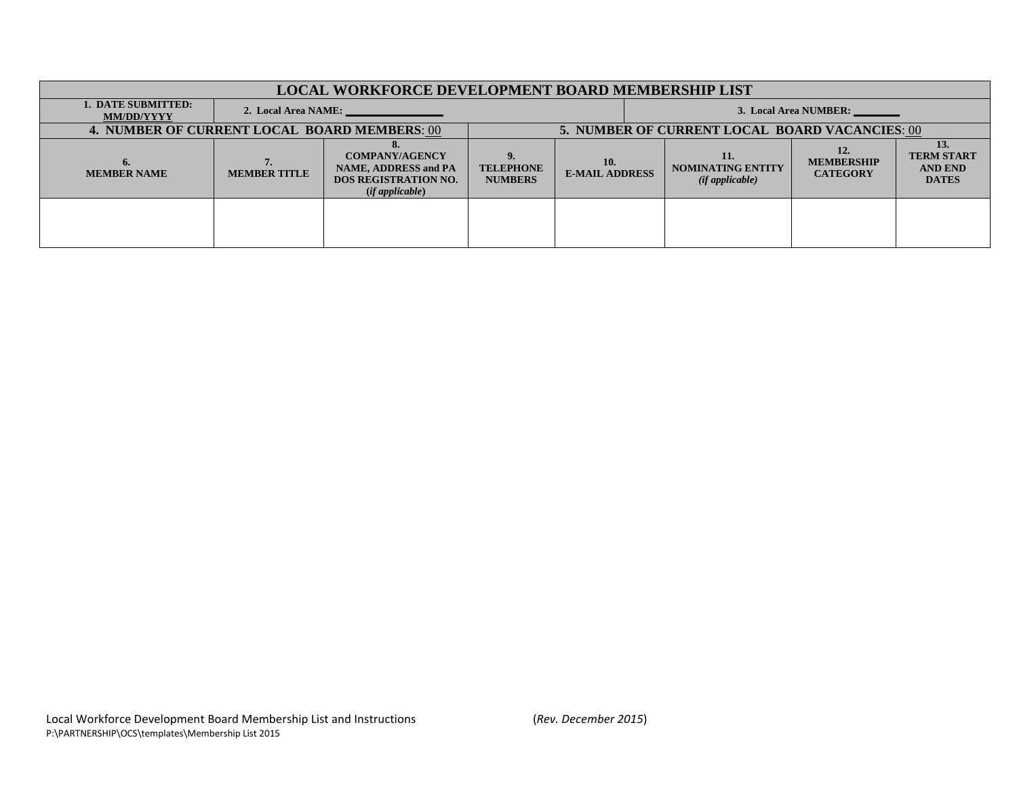| <b>LOCAL WORKFORCE DEVELOPMENT BOARD MEMBERSHIP LIST</b> |                     |                                                                                                             |                                    |                                                |                       |                                                   |                                             |                                                            |  |  |  |
|----------------------------------------------------------|---------------------|-------------------------------------------------------------------------------------------------------------|------------------------------------|------------------------------------------------|-----------------------|---------------------------------------------------|---------------------------------------------|------------------------------------------------------------|--|--|--|
| <b>1. DATE SUBMITTED:</b><br><b>MM/DD/YYYY</b>           | 2. Local Area NAME: |                                                                                                             |                                    |                                                | 3. Local Area NUMBER: |                                                   |                                             |                                                            |  |  |  |
| <b>4. NUMBER OF CURRENT LOCAL BOARD MEMBERS: 00</b>      |                     |                                                                                                             |                                    | 5. NUMBER OF CURRENT LOCAL BOARD VACANCIES: 00 |                       |                                                   |                                             |                                                            |  |  |  |
| $\mathbf{b}$<br><b>MEMBER NAME</b>                       | <b>MEMBER TITLE</b> | <b>COMPANY/AGENCY</b><br><b>NAME, ADDRESS and PA</b><br><b>DOS REGISTRATION NO.</b><br>$(if$ applicable $)$ | <b>TELEPHONE</b><br><b>NUMBERS</b> | 10.<br><b>E-MAIL ADDRESS</b>                   |                       | 11.<br><b>NOMINATING ENTITY</b><br>(ifappliedble) | 12.<br><b>MEMBERSHIP</b><br><b>CATEGORY</b> | 13.<br><b>TERM START</b><br><b>AND END</b><br><b>DATES</b> |  |  |  |
|                                                          |                     |                                                                                                             |                                    |                                                |                       |                                                   |                                             |                                                            |  |  |  |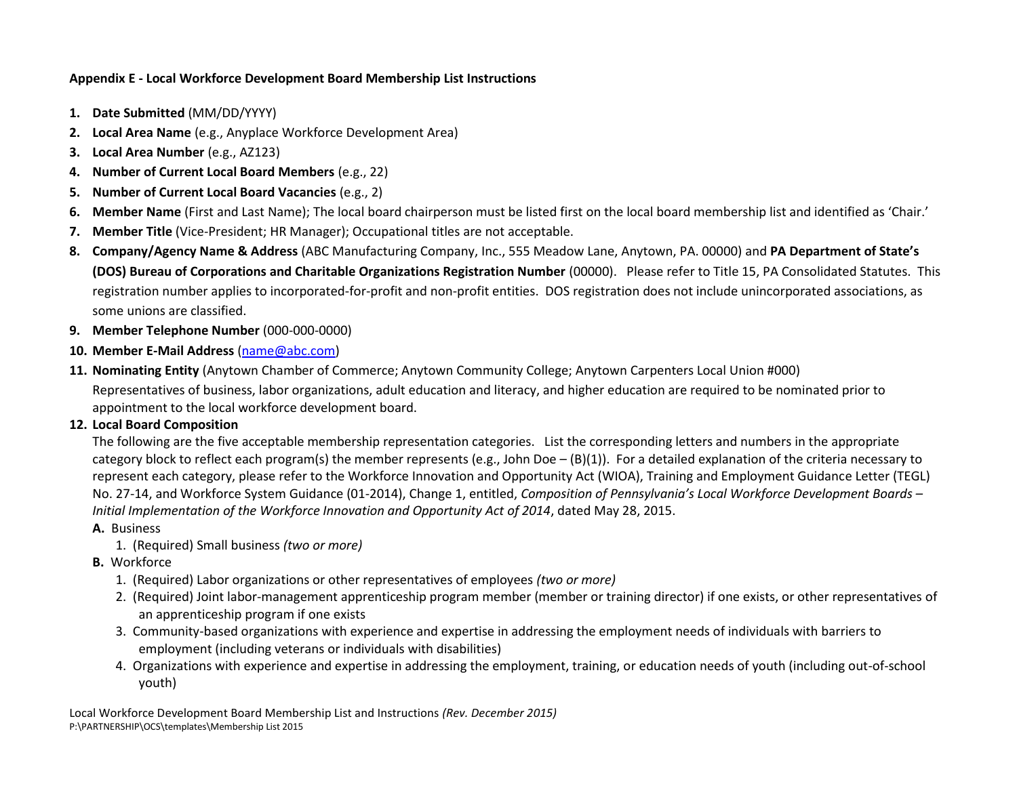### **Appendix E - Local Workforce Development Board Membership List Instructions**

- **1. Date Submitted** (MM/DD/YYYY)
- **2. Local Area Name** (e.g., Anyplace Workforce Development Area)
- **3. Local Area Number** (e.g., AZ123)
- **4. Number of Current Local Board Members** (e.g., 22)
- **5. Number of Current Local Board Vacancies** (e.g., 2)
- **6. Member Name** (First and Last Name); The local board chairperson must be listed first on the local board membership list and identified as 'Chair.'
- **7. Member Title** (Vice-President; HR Manager); Occupational titles are not acceptable.
- **8. Company/Agency Name & Address** (ABC Manufacturing Company, Inc., 555 Meadow Lane, Anytown, PA. 00000) and **PA Department of State's (DOS) Bureau of Corporations and Charitable Organizations Registration Number** (00000). Please refer to Title 15, PA Consolidated Statutes. This registration number applies to incorporated-for-profit and non-profit entities. DOS registration does not include unincorporated associations, as some unions are classified.
- **9. Member Telephone Number** (000-000-0000)
- **10. Member E-Mail Address** [\(name@abc.com\)](mailto:name@abc.com)
- **11. Nominating Entity** (Anytown Chamber of Commerce; Anytown Community College; Anytown Carpenters Local Union #000) Representatives of business, labor organizations, adult education and literacy, and higher education are required to be nominated prior to appointment to the local workforce development board.

### **12. Local Board Composition**

The following are the five acceptable membership representation categories. List the corresponding letters and numbers in the appropriate category block to reflect each program(s) the member represents (e.g., John Doe  $-(B)(1)$ ). For a detailed explanation of the criteria necessary to represent each category, please refer to the Workforce Innovation and Opportunity Act (WIOA), Training and Employment Guidance Letter (TEGL) No. 27-14, and Workforce System Guidance (01-2014), Change 1, entitled, *Composition of Pennsylvania's Local Workforce Development Boards – Initial Implementation of the Workforce Innovation and Opportunity Act of 2014*, dated May 28, 2015.

### **A.** Business

- 1. (Required) Small business *(two or more)*
- **B.** Workforce
	- 1. (Required) Labor organizations or other representatives of employees *(two or more)*
	- 2. (Required) Joint labor-management apprenticeship program member (member or training director) if one exists, or other representatives of an apprenticeship program if one exists
	- 3. Community-based organizations with experience and expertise in addressing the employment needs of individuals with barriers to employment (including veterans or individuals with disabilities)
	- 4. Organizations with experience and expertise in addressing the employment, training, or education needs of youth (including out-of-school youth)

Local Workforce Development Board Membership List and Instructions *(Rev. December 2015)* P:\PARTNERSHIP\OCS\templates\Membership List 2015